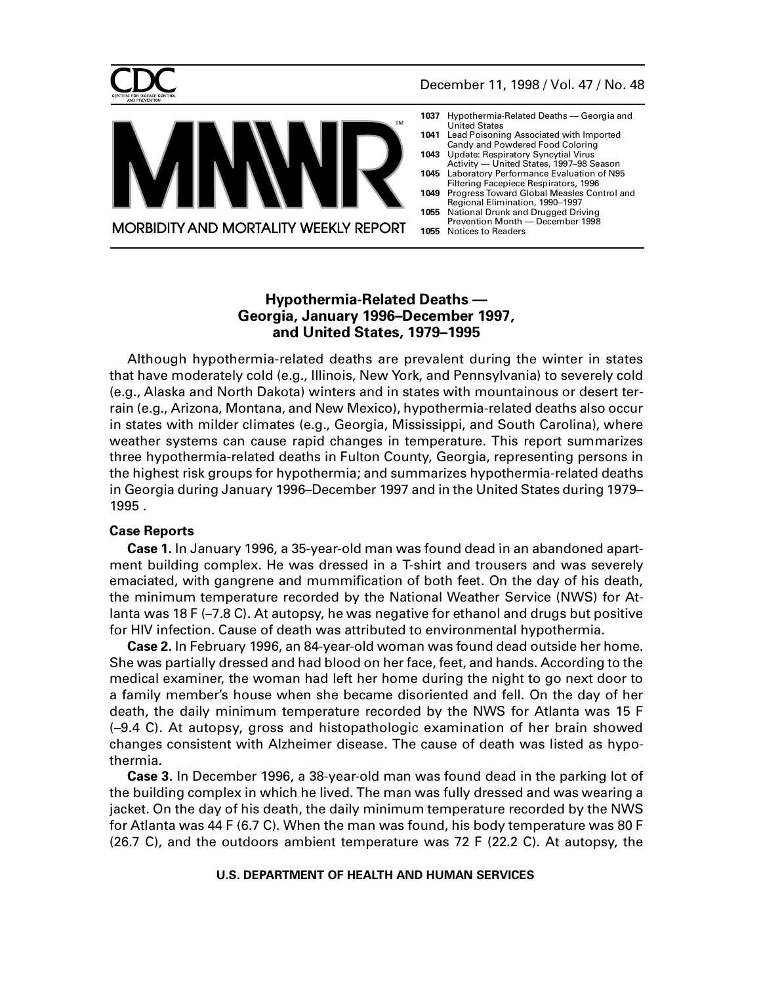<span id="page-0-0"></span>



- **1037** [Hypothermia-Related Deaths Georgia and](#page-0-0) United States **1041** [Lead Poisoning Associated with Imported](#page-4-0)
- Candy and Powdered Food Coloring
- **1043** Update: Respiratory Syncytial Virus [Activity — United States, 1997–98 Season](#page-6-0)
- **1045** [Laboratory Performance Evaluation of N95](#page-8-0) Filtering Facepiece Respirators, 1996
- **1049** [Progress Toward Global Measles Control and](#page-12-0) Regional Elimination, 1990–1997
- **1055** [National Drunk and Drugged Driving](#page-18-0) Prevention Month — December 1998 **1055** [Notices to Readers](#page-18-0)

# **Hypothermia-Related Deaths — Georgia, January 1996–December 1997, and United States, 1979–1995**

**MORBIDITY AND MORTALITY WEEKLY REPORT** 

TM

Although hypothermia-related deaths are prevalent during the winter in states that have moderately cold (e.g., Illinois, New York, and Pennsylvania) to severely cold (e.g., Alaska and North Dakota) winters and in states with mountainous or desert terrain (e.g., Arizona, Montana, and New Mexico), hypothermia-related deaths also occur in states with milder climates (e.g., Georgia, Mississippi, and South Carolina), where weather systems can cause rapid changes in temperature. This report summarizes three hypothermia-related deaths in Fulton County, Georgia, representing persons in the highest risk groups for hypothermia; and summarizes hypothermia-related deaths in Georgia during January 1996–December 1997 and in the United States during 1979– 1995 .

# **Case Reports**

**Case 1.** In January 1996, a 35-year-old man was found dead in an abandoned apartment building complex. He was dressed in a T-shirt and trousers and was severely emaciated, with gangrene and mummification of both feet. On the day of his death, the minimum temperature recorded by the National Weather Service (NWS) for Atlanta was 18 F (–7.8 C). At autopsy, he was negative for ethanol and drugs but positive for HIV infection. Cause of death was attributed to environmental hypothermia.

**Case 2.** In February 1996, an 84-year-old woman was found dead outside her home. She was partially dressed and had blood on her face, feet, and hands. According to the medical examiner, the woman had left her home during the night to go next door to a family member's house when she became disoriented and fell. On the day of her death, the daily minimum temperature recorded by the NWS for Atlanta was 15 F (–9.4 C). At autopsy, gross and histopathologic examination of her brain showed changes consistent with Alzheimer disease. The cause of death was listed as hypothermia.

**Case 3.** In December 1996, a 38-year-old man was found dead in the parking lot of the building complex in which he lived. The man was fully dressed and was wearing a jacket. On the day of his death, the daily minimum temperature recorded by the NWS for Atlanta was 44 F (6.7 C). When the man was found, his body temperature was 80 F (26.7 C), and the outdoors ambient temperature was 72 F (22.2 C). At autopsy, the

## **U.S. DEPARTMENT OF HEALTH AND HUMAN SERVICES**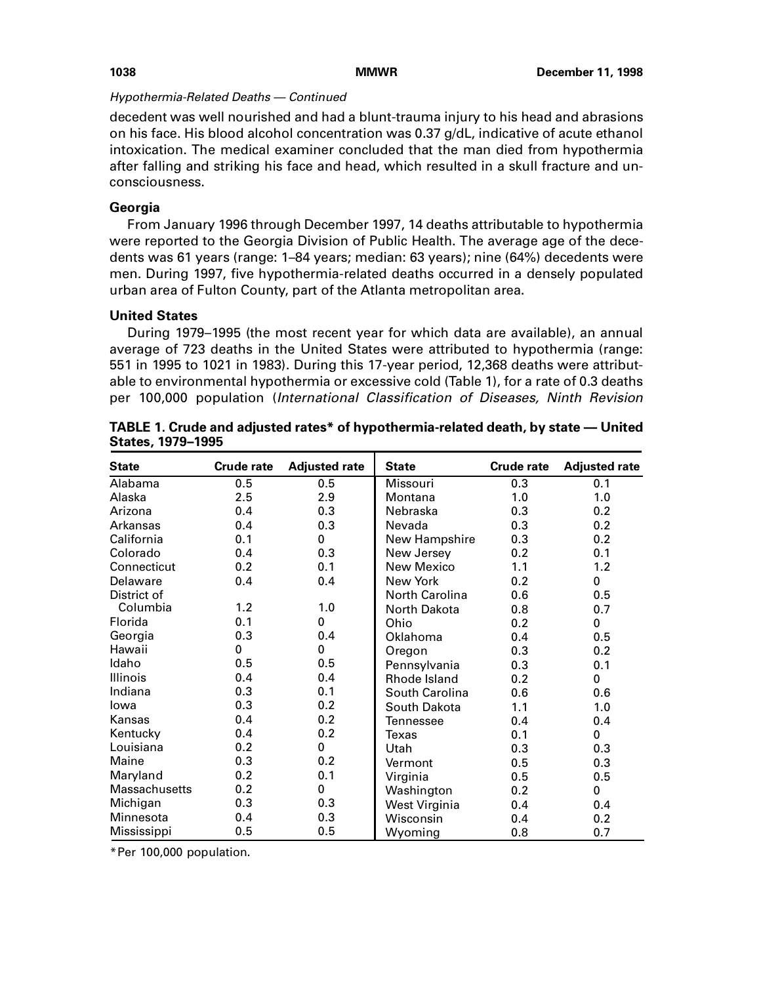## Hypothermia-Related Deaths — Continued

decedent was well nourished and had a blunt-trauma injury to his head and abrasions on his face. His blood alcohol concentration was 0.37 g/dL, indicative of acute ethanol intoxication. The medical examiner concluded that the man died from hypothermia after falling and striking his face and head, which resulted in a skull fracture and unconsciousness.

# **Georgia**

From January 1996 through December 1997, 14 deaths attributable to hypothermia were reported to the Georgia Division of Public Health. The average age of the decedents was 61 years (range: 1–84 years; median: 63 years); nine (64%) decedents were men. During 1997, five hypothermia-related deaths occurred in a densely populated urban area of Fulton County, part of the Atlanta metropolitan area.

## **United States**

During 1979–1995 (the most recent year for which data are available), an annual average of 723 deaths in the United States were attributed to hypothermia (range: 551 in 1995 to 1021 in 1983). During this 17-year period, 12,368 deaths were attributable to environmental hypothermia or excessive cold (Table 1), for a rate of 0.3 deaths per 100,000 population (International Classification of Diseases, Ninth Revision

| <b>State</b>         | <b>Crude rate</b> | <b>Adjusted rate</b> | <b>State</b>    | <b>Crude rate</b> | <b>Adjusted rate</b> |
|----------------------|-------------------|----------------------|-----------------|-------------------|----------------------|
| Alabama              | 0.5               | 0.5                  | <b>Missouri</b> | 0.3               | 0.1                  |
| Alaska               | 2.5               | 2.9                  | Montana         | 1.0               | 1.0                  |
| Arizona              | 0.4               | 0.3                  | Nebraska        | 0.3               | 0.2                  |
| Arkansas             | 0.4               | 0.3                  | Nevada          | 0.3               | 0.2                  |
| California           | 0.1               | 0                    | New Hampshire   | 0.3               | 0.2                  |
| Colorado             | 0.4               | 0.3                  | New Jersey      | 0.2               | 0.1                  |
| Connecticut          | 0.2               | 0.1                  | New Mexico      | 1.1               | 1.2                  |
| Delaware             | 0.4               | 0.4                  | New York        | 0.2               | 0                    |
| District of          |                   |                      | North Carolina  | 0.6               | 0.5                  |
| Columbia             | 1.2               | 1.0                  | North Dakota    | 0.8               | 0.7                  |
| Florida              | 0.1               | 0                    | Ohio            | 0.2               | $\mathbf 0$          |
| Georgia              | 0.3               | 0.4                  | Oklahoma        | 0.4               | 0.5                  |
| Hawaii               | 0                 | 0                    | Oregon          | 0.3               | 0.2                  |
| Idaho                | 0.5               | 0.5                  | Pennsylvania    | 0.3               | 0.1                  |
| <b>Illinois</b>      | 0.4               | 0.4                  | Rhode Island    | 0.2               | 0                    |
| Indiana              | 0.3               | 0.1                  | South Carolina  | 0.6               | 0.6                  |
| lowa                 | 0.3               | 0.2                  | South Dakota    | 1.1               | 1.0                  |
| Kansas               | 0.4               | 0.2                  | Tennessee       | 0.4               | 0.4                  |
| Kentucky             | 0.4               | 0.2                  | Texas           | 0.1               | $\mathbf 0$          |
| Louisiana            | 0.2               | 0                    | Utah            | 0.3               | 0.3                  |
| Maine                | 0.3               | 0.2                  | Vermont         | 0.5               | 0.3                  |
| Maryland             | 0.2               | 0.1                  | Virginia        | 0.5               | 0.5                  |
| <b>Massachusetts</b> | 0.2               | 0                    | Washington      | 0.2               | $\mathbf 0$          |
| Michigan             | 0.3               | 0.3                  | West Virginia   | 0.4               | 0.4                  |
| Minnesota            | 0.4               | 0.3                  | Wisconsin       | 0.4               | 0.2                  |
| Mississippi          | 0.5               | 0.5                  | Wyoming         | 0.8               | 0.7                  |

**TABLE 1. Crude and adjusted rates\* of hypothermia-related death, by state — United States, 1979–1995**

\*Per 100,000 population.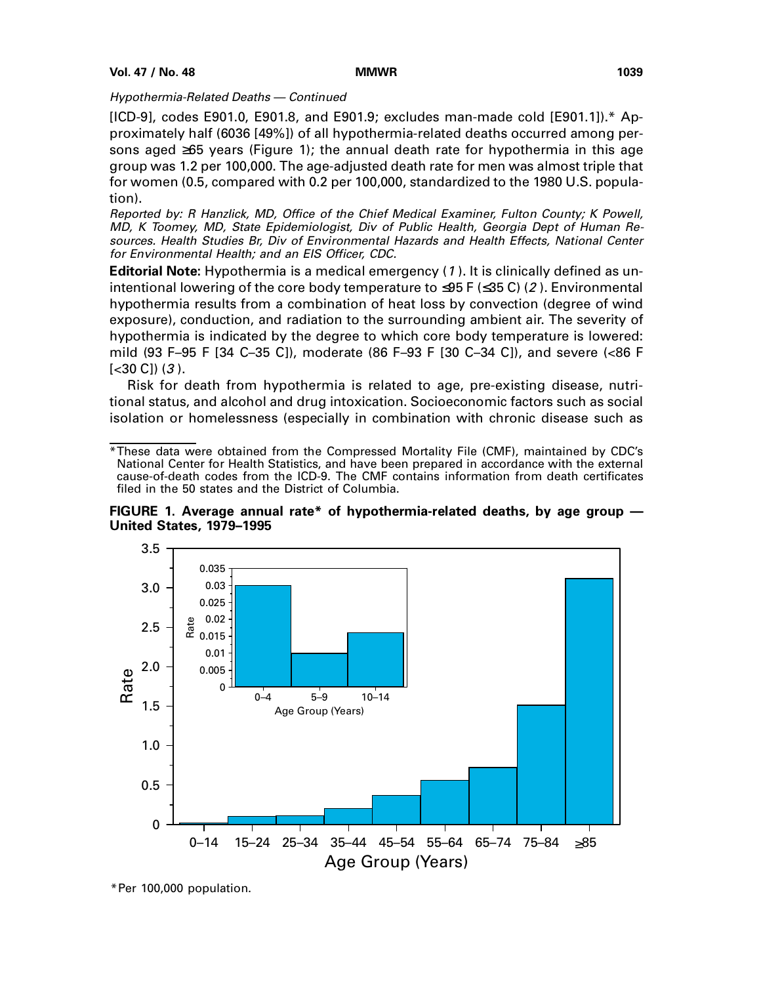## Hypothermia-Related Deaths — Continued

 $[ICD-9]$ , codes E901.0, E901.8, and E901.9; excludes man-made cold  $[E901.1]$ .\* Approximately half (6036 [49%]) of all hypothermia-related deaths occurred among persons aged ≥65 years (Figure 1); the annual death rate for hypothermia in this age group was 1.2 per 100,000. The age-adjusted death rate for men was almost triple that for women (0.5, compared with 0.2 per 100,000, standardized to the 1980 U.S. population).

Reported by: R Hanzlick, MD, Office of the Chief Medical Examiner, Fulton County; K Powell, MD, K Toomey, MD, State Epidemiologist, Div of Public Health, Georgia Dept of Human Resources. Health Studies Br, Div of Environmental Hazards and Health Effects, National Center for Environmental Health; and an EIS Officer, CDC.

**Editorial Note:** Hypothermia is a medical emergency (1 ). It is clinically defined as unintentional lowering of the core body temperature to  $\leq$ 95 F ( $\leq$ 35 C) (2). Environmental hypothermia results from a combination of heat loss by convection (degree of wind exposure), conduction, and radiation to the surrounding ambient air. The severity of hypothermia is indicated by the degree to which core body temperature is lowered: mild (93 F–95 F [34 C–35 C]), moderate (86 F–93 F [30 C–34 C]), and severe (<86 F  $[<30 C]$   $(3)$ .

Risk for death from hypothermia is related to age, pre-existing disease, nutritional status, and alcohol and drug intoxication. Socioeconomic factors such as social isolation or homelessness (especially in combination with chronic disease such as

<sup>\*</sup>These data were obtained from the Compressed Mortality File (CMF), maintained by CDC's National Center for Health Statistics, and have been prepared in accordance with the external cause-of-death codes from the ICD-9. The CMF contains information from death certificates filed in the 50 states and the District of Columbia.





<sup>\*</sup>Per 100,000 population.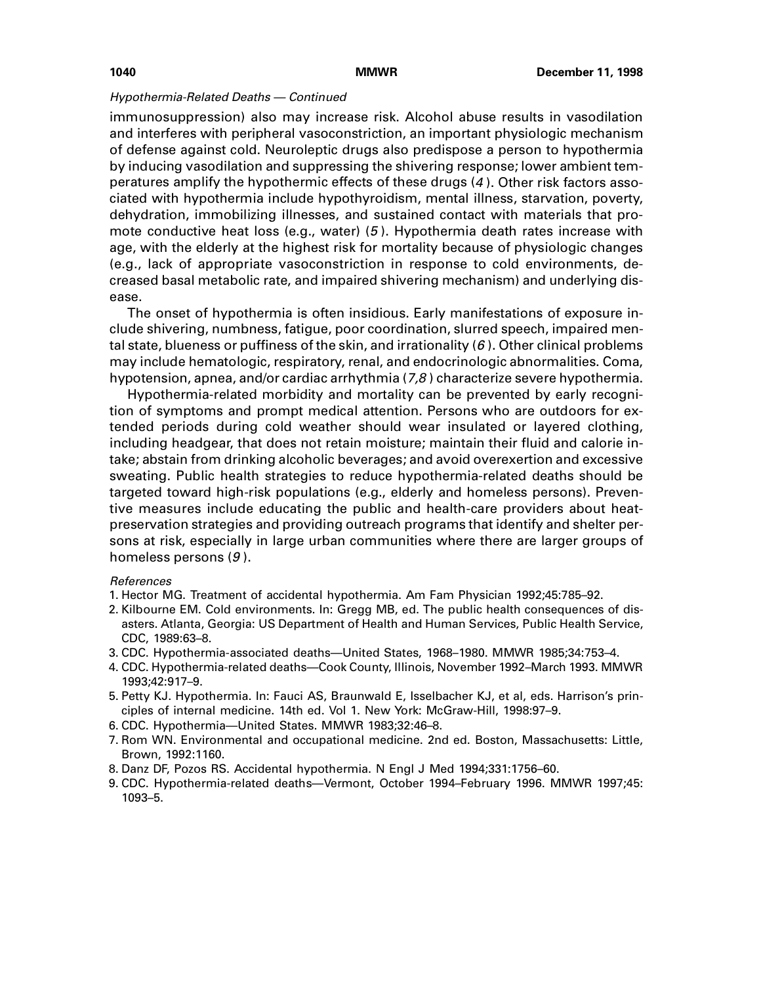### Hypothermia-Related Deaths — Continued

immunosuppression) also may increase risk. Alcohol abuse results in vasodilation and interferes with peripheral vasoconstriction, an important physiologic mechanism of defense against cold. Neuroleptic drugs also predispose a person to hypothermia by inducing vasodilation and suppressing the shivering response; lower ambient temperatures amplify the hypothermic effects of these drugs (4 ). Other risk factors associated with hypothermia include hypothyroidism, mental illness, starvation, poverty, dehydration, immobilizing illnesses, and sustained contact with materials that promote conductive heat loss (e.g., water) (5 ). Hypothermia death rates increase with age, with the elderly at the highest risk for mortality because of physiologic changes (e.g., lack of appropriate vasoconstriction in response to cold environments, decreased basal metabolic rate, and impaired shivering mechanism) and underlying disease.

The onset of hypothermia is often insidious. Early manifestations of exposure include shivering, numbness, fatigue, poor coordination, slurred speech, impaired mental state, blueness or puffiness of the skin, and irrationality  $(6)$ . Other clinical problems may include hematologic, respiratory, renal, and endocrinologic abnormalities. Coma, hypotension, apnea, and/or cardiac arrhythmia  $(7,8)$  characterize severe hypothermia.

Hypothermia-related morbidity and mortality can be prevented by early recognition of symptoms and prompt medical attention. Persons who are outdoors for extended periods during cold weather should wear insulated or layered clothing, including headgear, that does not retain moisture; maintain their fluid and calorie intake; abstain from drinking alcoholic beverages; and avoid overexertion and excessive sweating. Public health strategies to reduce hypothermia-related deaths should be targeted toward high-risk populations (e.g., elderly and homeless persons). Preventive measures include educating the public and health-care providers about heatpreservation strategies and providing outreach programs that identify and shelter persons at risk, especially in large urban communities where there are larger groups of homeless persons (9 ).

### References

- 1. Hector MG. Treatment of accidental hypothermia. Am Fam Physician 1992;45:785–92.
- 2. Kilbourne EM. Cold environments. In: Gregg MB, ed. The public health consequences of disasters. Atlanta, Georgia: US Department of Health and Human Services, Public Health Service, CDC, 1989:63–8.
- 3. CDC. Hypothermia-associated deaths—United States, 1968–1980. MMWR 1985;34:753–4.
- 4. CDC. Hypothermia-related deaths—Cook County, Illinois, November 1992–March 1993. MMWR 1993;42:917–9.
- 5. Petty KJ. Hypothermia. In: Fauci AS, Braunwald E, Isselbacher KJ, et al, eds. Harrison's principles of internal medicine. 14th ed. Vol 1. New York: McGraw-Hill, 1998:97–9.
- 6. CDC. Hypothermia—United States. MMWR 1983;32:46–8.
- 7. Rom WN. Environmental and occupational medicine. 2nd ed. Boston, Massachusetts: Little, Brown, 1992:1160.
- 8. Danz DF, Pozos RS. Accidental hypothermia. N Engl J Med 1994;331:1756–60.
- 9. CDC. Hypothermia-related deaths—Vermont, October 1994–February 1996. MMWR 1997;45: 1093–5.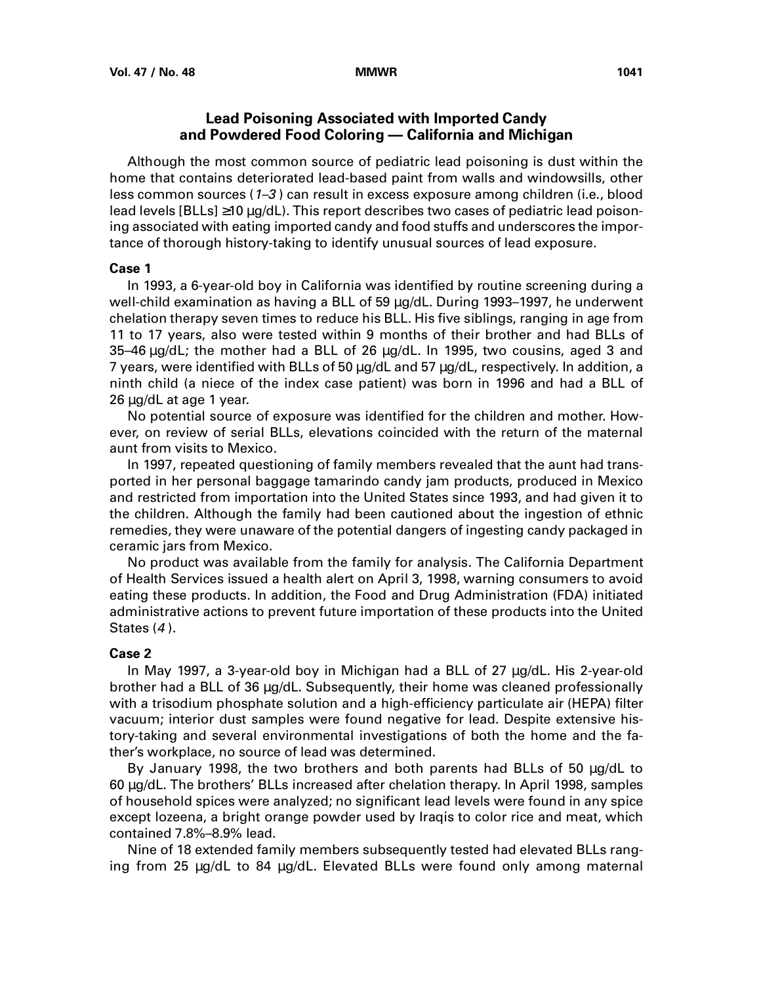# **Lead Poisoning Associated with Imported Candy and Powdered Food Coloring — California and Michigan**

<span id="page-4-0"></span>Although the most common source of pediatric lead poisoning is dust within the home that contains deteriorated lead-based paint from walls and windowsills, other less common sources (1–3 ) can result in excess exposure among children (i.e., blood lead levels [BLLs] ≥10 µg/dL). This report describes two cases of pediatric lead poisoning associated with eating imported candy and food stuffs and underscores the importance of thorough history-taking to identify unusual sources of lead exposure.

### **Case 1**

In 1993, a 6-year-old boy in California was identified by routine screening during a well-child examination as having a BLL of 59 µg/dL. During 1993–1997, he underwent chelation therapy seven times to reduce his BLL. His five siblings, ranging in age from 11 to 17 years, also were tested within 9 months of their brother and had BLLs of 35–46 µg/dL; the mother had a BLL of 26 µg/dL. In 1995, two cousins, aged 3 and 7 years, were identified with BLLs of 50 µg/dL and 57 µg/dL, respectively. In addition, a ninth child (a niece of the index case patient) was born in 1996 and had a BLL of 26 µg/dL at age 1 year.

No potential source of exposure was identified for the children and mother. However, on review of serial BLLs, elevations coincided with the return of the maternal aunt from visits to Mexico.

In 1997, repeated questioning of family members revealed that the aunt had transported in her personal baggage tamarindo candy jam products, produced in Mexico and restricted from importation into the United States since 1993, and had given it to the children. Although the family had been cautioned about the ingestion of ethnic remedies, they were unaware of the potential dangers of ingesting candy packaged in ceramic jars from Mexico.

No product was available from the family for analysis. The California Department of Health Services issued a health alert on April 3, 1998, warning consumers to avoid eating these products. In addition, the Food and Drug Administration (FDA) initiated administrative actions to prevent future importation of these products into the United States (4).

### **Case 2**

In May 1997, a 3-year-old boy in Michigan had a BLL of 27 µg/dL. His 2-year-old brother had a BLL of 36 µg/dL. Subsequently, their home was cleaned professionally with a trisodium phosphate solution and a high-efficiency particulate air (HEPA) filter vacuum; interior dust samples were found negative for lead. Despite extensive history-taking and several environmental investigations of both the home and the father's workplace, no source of lead was determined.

By January 1998, the two brothers and both parents had BLLs of 50 µg/dL to 60 µg/dL. The brothers' BLLs increased after chelation therapy. In April 1998, samples of household spices were analyzed; no significant lead levels were found in any spice except lozeena, a bright orange powder used by Iraqis to color rice and meat, which contained 7.8%–8.9% lead.

Nine of 18 extended family members subsequently tested had elevated BLLs ranging from 25 µg/dL to 84 µg/dL. Elevated BLLs were found only among maternal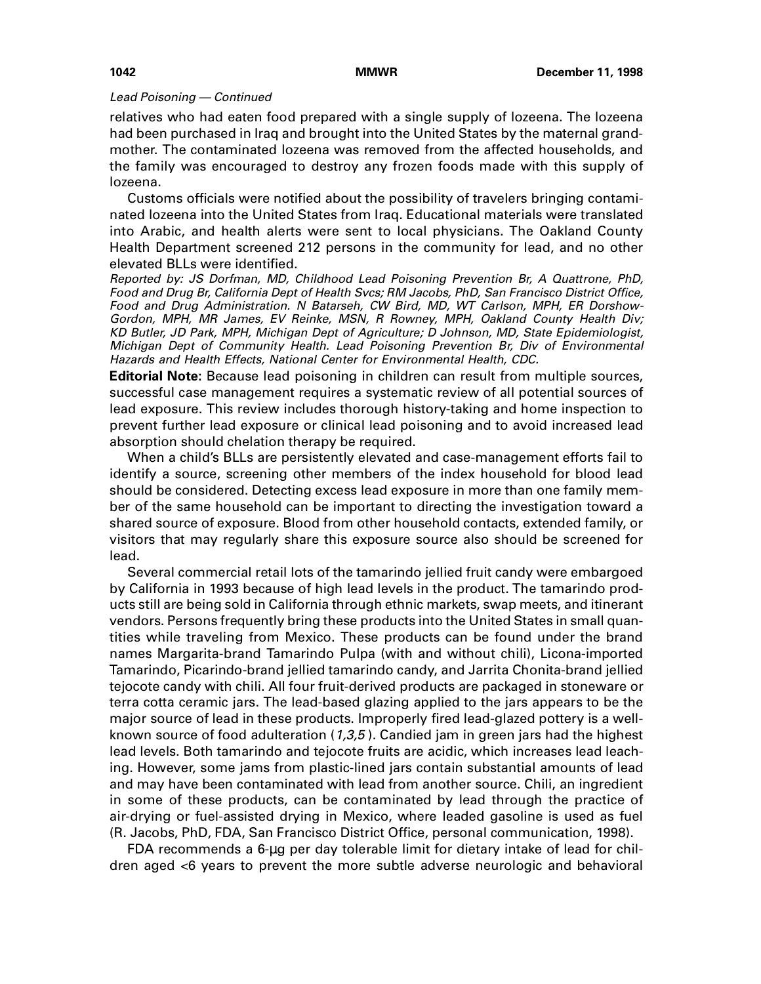### Lead Poisoning — Continued

relatives who had eaten food prepared with a single supply of lozeena. The lozeena had been purchased in Iraq and brought into the United States by the maternal grandmother. The contaminated lozeena was removed from the affected households, and the family was encouraged to destroy any frozen foods made with this supply of lozeena.

Customs officials were notified about the possibility of travelers bringing contaminated lozeena into the United States from Iraq. Educational materials were translated into Arabic, and health alerts were sent to local physicians. The Oakland County Health Department screened 212 persons in the community for lead, and no other elevated BLLs were identified.

Reported by: JS Dorfman, MD, Childhood Lead Poisoning Prevention Br, A Quattrone, PhD, Food and Drug Br, California Dept of Health Svcs; RM Jacobs, PhD, San Francisco District Office, Food and Drug Administration. N Batarseh, CW Bird, MD, WT Carlson, MPH, ER Dorshow-Gordon, MPH, MR James, EV Reinke, MSN, R Rowney, MPH, Oakland County Health Div; KD Butler, JD Park, MPH, Michigan Dept of Agriculture; D Johnson, MD, State Epidemiologist, Michigan Dept of Community Health. Lead Poisoning Prevention Br, Div of Environmental Hazards and Health Effects, National Center for Environmental Health, CDC.

**Editorial Note:** Because lead poisoning in children can result from multiple sources, successful case management requires a systematic review of all potential sources of lead exposure. This review includes thorough history-taking and home inspection to prevent further lead exposure or clinical lead poisoning and to avoid increased lead absorption should chelation therapy be required.

When a child's BLLs are persistently elevated and case-management efforts fail to identify a source, screening other members of the index household for blood lead should be considered. Detecting excess lead exposure in more than one family member of the same household can be important to directing the investigation toward a shared source of exposure. Blood from other household contacts, extended family, or visitors that may regularly share this exposure source also should be screened for lead.

Several commercial retail lots of the tamarindo jellied fruit candy were embargoed by California in 1993 because of high lead levels in the product. The tamarindo products still are being sold in California through ethnic markets, swap meets, and itinerant vendors. Persons frequently bring these products into the United States in small quantities while traveling from Mexico. These products can be found under the brand names Margarita-brand Tamarindo Pulpa (with and without chili), Licona-imported Tamarindo, Picarindo-brand jellied tamarindo candy, and Jarrita Chonita-brand jellied tejocote candy with chili. All four fruit-derived products are packaged in stoneware or terra cotta ceramic jars. The lead-based glazing applied to the jars appears to be the major source of lead in these products. Improperly fired lead-glazed pottery is a wellknown source of food adulteration  $(1,3,5)$ . Candied jam in green jars had the highest lead levels. Both tamarindo and tejocote fruits are acidic, which increases lead leaching. However, some jams from plastic-lined jars contain substantial amounts of lead and may have been contaminated with lead from another source. Chili, an ingredient in some of these products, can be contaminated by lead through the practice of air-drying or fuel-assisted drying in Mexico, where leaded gasoline is used as fuel (R. Jacobs, PhD, FDA, San Francisco District Office, personal communication, 1998).

FDA recommends a 6-µg per day tolerable limit for dietary intake of lead for children aged <6 years to prevent the more subtle adverse neurologic and behavioral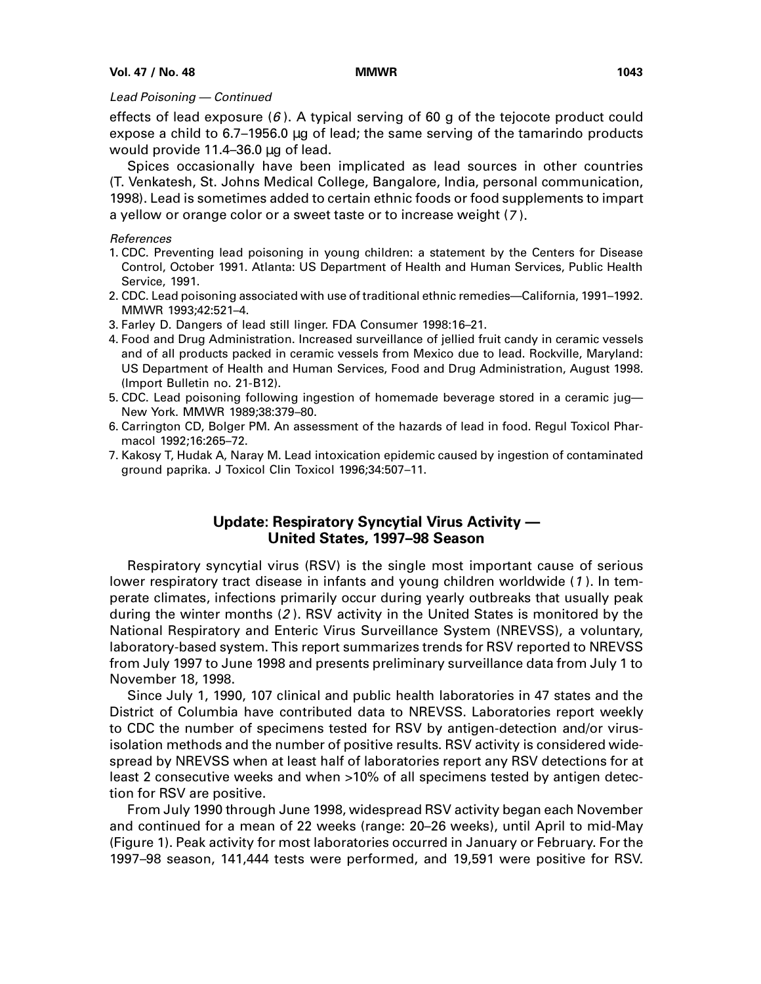### <span id="page-6-0"></span>Lead Poisoning — Continued

effects of lead exposure  $(6)$ . A typical serving of 60 g of the tejocote product could expose a child to 6.7–1956.0 µg of lead; the same serving of the tamarindo products would provide 11.4–36.0 µg of lead.

Spices occasionally have been implicated as lead sources in other countries (T. Venkatesh, St. Johns Medical College, Bangalore, India, personal communication, 1998). Lead is sometimes added to certain ethnic foods or food supplements to impart a yellow or orange color or a sweet taste or to increase weight (7 ).

### References

- 1. CDC. Preventing lead poisoning in young children: a statement by the Centers for Disease Control, October 1991. Atlanta: US Department of Health and Human Services, Public Health Service, 1991.
- 2. CDC. Lead poisoning associated with use of traditional ethnic remedies—California, 1991–1992. MMWR 1993;42:521–4.
- 3. Farley D. Dangers of lead still linger. FDA Consumer 1998:16–21.
- 4. Food and Drug Administration. Increased surveillance of jellied fruit candy in ceramic vessels and of all products packed in ceramic vessels from Mexico due to lead. Rockville, Maryland: US Department of Health and Human Services, Food and Drug Administration, August 1998. (Import Bulletin no. 21-B12).
- 5. CDC. Lead poisoning following ingestion of homemade beverage stored in a ceramic jug— New York. MMWR 1989;38:379–80.
- 6. Carrington CD, Bolger PM. An assessment of the hazards of lead in food. Regul Toxicol Pharmacol 1992;16:265–72.
- 7. Kakosy T, Hudak A, Naray M. Lead intoxication epidemic caused by ingestion of contaminated ground paprika. J Toxicol Clin Toxicol 1996;34:507–11.

# **Update: Respiratory Syncytial Virus Activity — United States, 1997–98 Season**

Respiratory syncytial virus (RSV) is the single most important cause of serious lower respiratory tract disease in infants and young children worldwide (1). In temperate climates, infections primarily occur during yearly outbreaks that usually peak during the winter months (2 ). RSV activity in the United States is monitored by the National Respiratory and Enteric Virus Surveillance System (NREVSS), a voluntary, laboratory-based system. This report summarizes trends for RSV reported to NREVSS from July 1997 to June 1998 and presents preliminary surveillance data from July 1 to November 18, 1998.

Since July 1, 1990, 107 clinical and public health laboratories in 47 states and the District of Columbia have contributed data to NREVSS. Laboratories report weekly to CDC the number of specimens tested for RSV by antigen-detection and/or virusisolation methods and the number of positive results. RSV activity is considered widespread by NREVSS when at least half of laboratories report any RSV detections for at least 2 consecutive weeks and when >10% of all specimens tested by antigen detection for RSV are positive.

From July 1990 through June 1998, widespread RSV activity began each November and continued for a mean of 22 weeks (range: 20–26 weeks), until April to mid-May (Figure 1). Peak activity for most laboratories occurred in January or February. For the 1997–98 season, 141,444 tests were performed, and 19,591 were positive for RSV.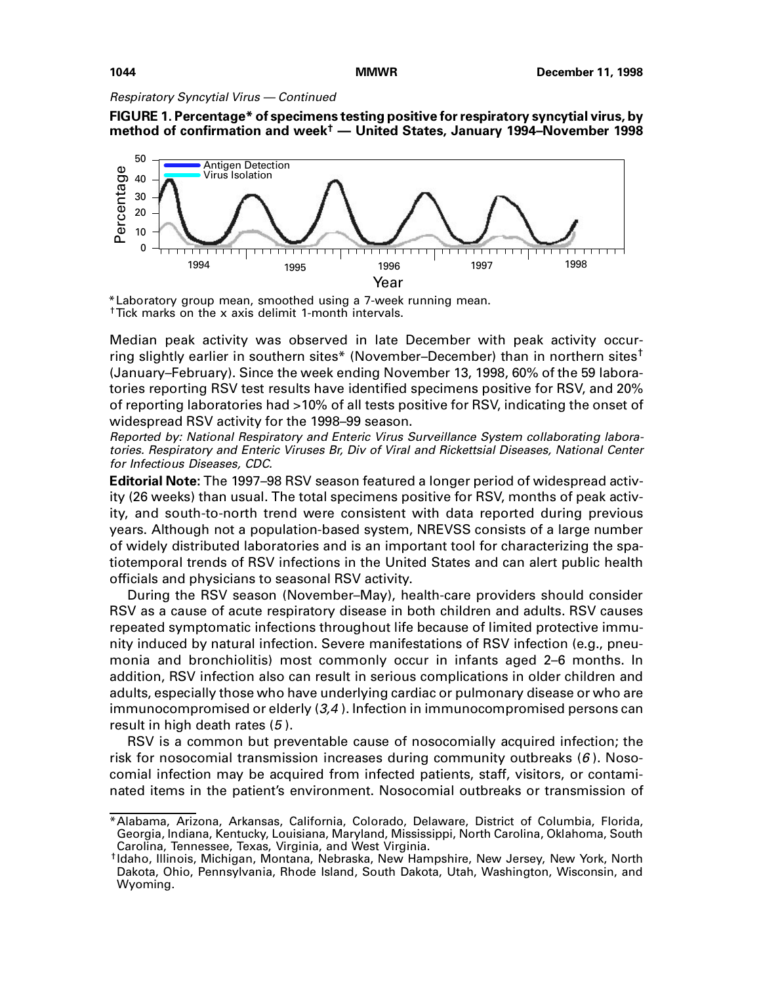Respiratory Syncytial Virus — Continued





\*Laboratory group mean, smoothed using a 7-week running mean. †Tick marks on the x axis delimit 1-month intervals.

Median peak activity was observed in late December with peak activity occurring slightly earlier in southern sites\* (November–December) than in northern sites<sup>†</sup> (January–February). Since the week ending November 13, 1998, 60% of the 59 laboratories reporting RSV test results have identified specimens positive for RSV, and 20% of reporting laboratories had >10% of all tests positive for RSV, indicating the onset of widespread RSV activity for the 1998–99 season.

Reported by: National Respiratory and Enteric Virus Surveillance System collaborating laboratories. Respiratory and Enteric Viruses Br, Div of Viral and Rickettsial Diseases, National Center for Infectious Diseases, CDC.

**Editorial Note:** The 1997–98 RSV season featured a longer period of widespread activity (26 weeks) than usual. The total specimens positive for RSV, months of peak activity, and south-to-north trend were consistent with data reported during previous years. Although not a population-based system, NREVSS consists of a large number of widely distributed laboratories and is an important tool for characterizing the spatiotemporal trends of RSV infections in the United States and can alert public health officials and physicians to seasonal RSV activity.

During the RSV season (November–May), health-care providers should consider RSV as a cause of acute respiratory disease in both children and adults. RSV causes repeated symptomatic infections throughout life because of limited protective immunity induced by natural infection. Severe manifestations of RSV infection (e.g., pneumonia and bronchiolitis) most commonly occur in infants aged 2–6 months. In addition, RSV infection also can result in serious complications in older children and adults, especially those who have underlying cardiac or pulmonary disease or who are immunocompromised or elderly  $(3,4)$ . Infection in immunocompromised persons can result in high death rates (5 ).

RSV is a common but preventable cause of nosocomially acquired infection; the risk for nosocomial transmission increases during community outbreaks  $(6)$ . Nosocomial infection may be acquired from infected patients, staff, visitors, or contaminated items in the patient's environment. Nosocomial outbreaks or transmission of

<sup>\*</sup>Alabama, Arizona, Arkansas, California, Colorado, Delaware, District of Columbia, Florida, Georgia, Indiana, Kentucky, Louisiana, Maryland, Mississippi, North Carolina, Oklahoma, South Carolina, Tennessee, Texas, Virginia, and West Virginia.

<sup>†</sup>Idaho, Illinois, Michigan, Montana, Nebraska, New Hampshire, New Jersey, New York, North Dakota, Ohio, Pennsylvania, Rhode Island, South Dakota, Utah, Washington, Wisconsin, and Wyoming.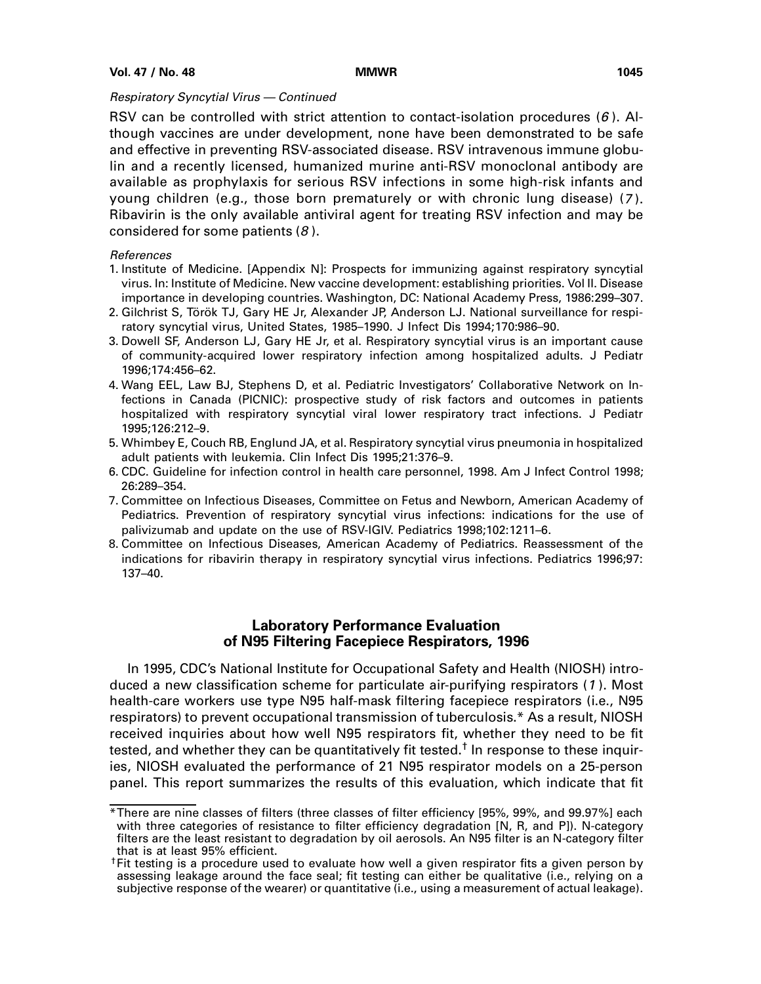## <span id="page-8-0"></span>Respiratory Syncytial Virus — Continued

RSV can be controlled with strict attention to contact-isolation procedures  $(6)$ . Although vaccines are under development, none have been demonstrated to be safe and effective in preventing RSV-associated disease. RSV intravenous immune globulin and a recently licensed, humanized murine anti-RSV monoclonal antibody are available as prophylaxis for serious RSV infections in some high-risk infants and young children (e.g., those born prematurely or with chronic lung disease) (7 ). Ribavirin is the only available antiviral agent for treating RSV infection and may be considered for some patients (8 ).

## References

- 1. Institute of Medicine. [Appendix N]: Prospects for immunizing against respiratory syncytial virus. In: Institute of Medicine. New vaccine development: establishing priorities. Vol II. Disease importance in developing countries. Washington, DC: National Academy Press, 1986:299–307.
- 2. Gilchrist S, Török TJ, Gary HE Jr, Alexander JP, Anderson LJ. National surveillance for respiratory syncytial virus, United States, 1985–1990. J Infect Dis 1994;170:986–90.
- 3. Dowell SF, Anderson LJ, Gary HE Jr, et al. Respiratory syncytial virus is an important cause of community-acquired lower respiratory infection among hospitalized adults. J Pediatr 1996;174:456–62.
- 4. Wang EEL, Law BJ, Stephens D, et al. Pediatric Investigators' Collaborative Network on Infections in Canada (PICNIC): prospective study of risk factors and outcomes in patients hospitalized with respiratory syncytial viral lower respiratory tract infections. J Pediatr 1995;126:212–9.
- 5. Whimbey E, Couch RB, Englund JA, et al. Respiratory syncytial virus pneumonia in hospitalized adult patients with leukemia. Clin Infect Dis 1995;21:376–9.
- 6. CDC. Guideline for infection control in health care personnel, 1998. Am J Infect Control 1998; 26:289–354.
- 7. Committee on Infectious Diseases, Committee on Fetus and Newborn, American Academy of Pediatrics. Prevention of respiratory syncytial virus infections: indications for the use of palivizumab and update on the use of RSV-IGIV. Pediatrics 1998;102:1211–6.
- 8. Committee on Infectious Diseases, American Academy of Pediatrics. Reassessment of the indications for ribavirin therapy in respiratory syncytial virus infections. Pediatrics 1996;97: 137–40.

# **Laboratory Performance Evaluation of N95 Filtering Facepiece Respirators, 1996**

In 1995, CDC's National Institute for Occupational Safety and Health (NIOSH) introduced a new classification scheme for particulate air-purifying respirators (1 ). Most health-care workers use type N95 half-mask filtering facepiece respirators (i.e., N95 respirators) to prevent occupational transmission of tuberculosis.\* As a result, NIOSH received inquiries about how well N95 respirators fit, whether they need to be fit tested, and whether they can be quantitatively fit tested.<sup>†</sup> In response to these inquiries, NIOSH evaluated the performance of 21 N95 respirator models on a 25-person panel. This report summarizes the results of this evaluation, which indicate that fit

<sup>\*</sup>There are nine classes of filters (three classes of filter efficiency [95%, 99%, and 99.97%] each with three categories of resistance to filter efficiency degradation [N, R, and P]). N-category filters are the least resistant to degradation by oil aerosols. An N95 filter is an N-category filter that is at least 95% efficient.

<sup>&</sup>lt;sup>†</sup>Fit testing is a procedure used to evaluate how well a given respirator fits a given person by assessing leakage around the face seal; fit testing can either be qualitative (i.e., relying on a subjective response of the wearer) or quantitative (i.e., using a measurement of actual leakage).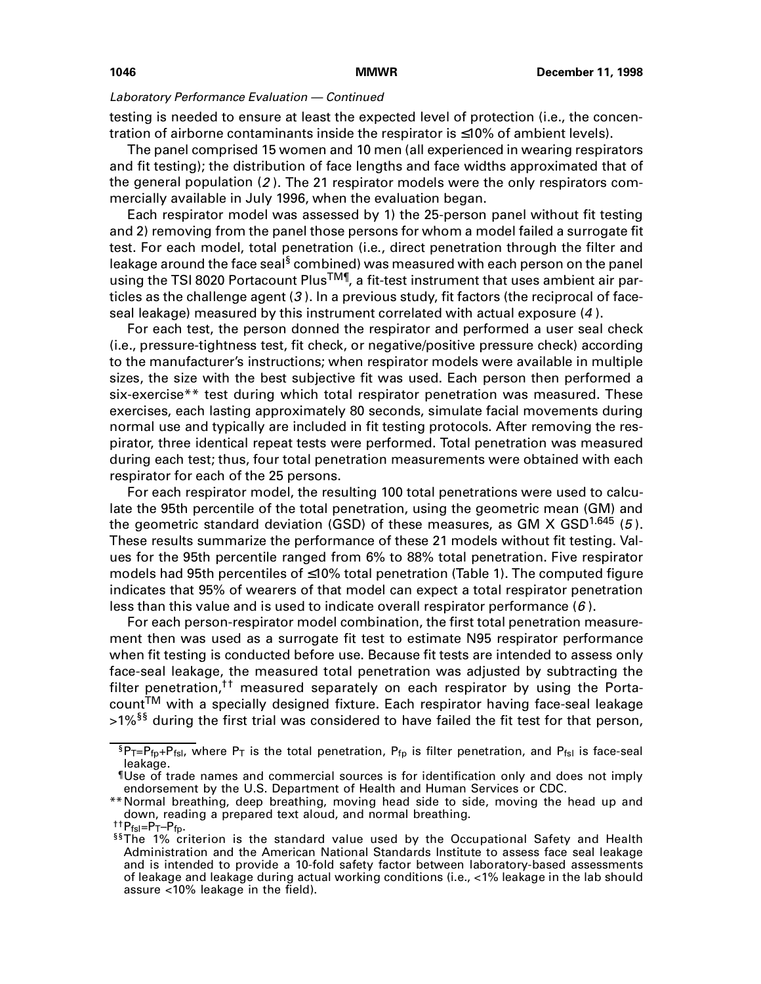testing is needed to ensure at least the expected level of protection (i.e., the concentration of airborne contaminants inside the respirator is ≤10% of ambient levels).

The panel comprised 15 women and 10 men (all experienced in wearing respirators and fit testing); the distribution of face lengths and face widths approximated that of the general population (2 ). The 21 respirator models were the only respirators commercially available in July 1996, when the evaluation began.

Each respirator model was assessed by 1) the 25-person panel without fit testing and 2) removing from the panel those persons for whom a model failed a surrogate fit test. For each model, total penetration (i.e., direct penetration through the filter and leakage around the face seal<sup>§</sup> combined) was measured with each person on the panel using the TSI 8020 Portacount Plus<sup>TM¶</sup>, a fit-test instrument that uses ambient air particles as the challenge agent (3). In a previous study, fit factors (the reciprocal of faceseal leakage) measured by this instrument correlated with actual exposure (4 ).

For each test, the person donned the respirator and performed a user seal check (i.e., pressure-tightness test, fit check, or negative/positive pressure check) according to the manufacturer's instructions; when respirator models were available in multiple sizes, the size with the best subjective fit was used. Each person then performed a six-exercise\*\* test during which total respirator penetration was measured. These exercises, each lasting approximately 80 seconds, simulate facial movements during normal use and typically are included in fit testing protocols. After removing the respirator, three identical repeat tests were performed. Total penetration was measured during each test; thus, four total penetration measurements were obtained with each respirator for each of the 25 persons.

For each respirator model, the resulting 100 total penetrations were used to calculate the 95th percentile of the total penetration, using the geometric mean (GM) and the geometric standard deviation (GSD) of these measures, as GM X GSD<sup>1.645</sup> (5). These results summarize the performance of these 21 models without fit testing. Values for the 95th percentile ranged from 6% to 88% total penetration. Five respirator models had 95th percentiles of ≤10% total penetration (Table 1). The computed figure indicates that 95% of wearers of that model can expect a total respirator penetration less than this value and is used to indicate overall respirator performance  $(6)$ .

For each person-respirator model combination, the first total penetration measurement then was used as a surrogate fit test to estimate N95 respirator performance when fit testing is conducted before use. Because fit tests are intended to assess only face-seal leakage, the measured total penetration was adjusted by subtracting the filter penetration,<sup>††</sup> measured separately on each respirator by using the Porta $count^{TM}$  with a specially designed fixture. Each respirator having face-seal leakage  $>1\%$ <sup>§§</sup> during the first trial was considered to have failed the fit test for that person,

 ${}^{5}P_{T}=P_{fp}+P_{fsl}$ , where  $P_{T}$  is the total penetration,  $P_{fp}$  is filter penetration, and  $P_{fsl}$  is face-seal leakage.

<sup>¶</sup>Use of trade names and commercial sources is for identification only and does not imply endorsement by the U.S. Department of Health and Human Services or CDC.

<sup>\*\*</sup>Normal breathing, deep breathing, moving head side to side, moving the head up and down, reading a prepared text aloud, and normal breathing.<br><sup>††</sup>P<sub>fsl</sub>=P<sub>T</sub>-P<sub>fn</sub>.

 $55$ The 1% criterion is the standard value used by the Occupational Safety and Health Administration and the American National Standards Institute to assess face seal leakage and is intended to provide a 10-fold safety factor between laboratory-based assessments of leakage and leakage during actual working conditions (i.e., <1% leakage in the lab should assure <10% leakage in the field).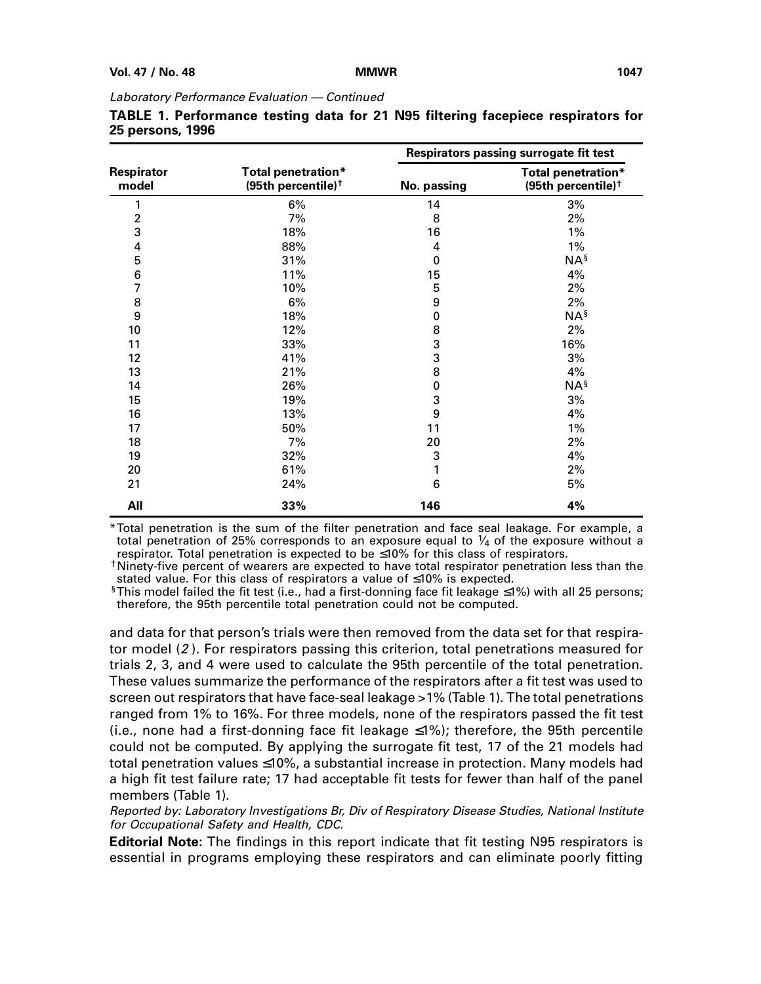|                         |                                                      |                  | Respirators passing surrogate fit test               |
|-------------------------|------------------------------------------------------|------------------|------------------------------------------------------|
| Respirator<br>model     | Total penetration*<br>(95th percentile) <sup>†</sup> | No. passing      | Total penetration*<br>(95th percentile) <sup>†</sup> |
| 1                       | 6%                                                   | 14               | 3%                                                   |
| $\overline{\mathbf{c}}$ | 7%                                                   | 8                | 2%                                                   |
| 3                       | 18%                                                  | 16               | 1%                                                   |
| $\overline{4}$          | 88%                                                  | 4                | 1%                                                   |
| 5                       | 31%                                                  | $\pmb{0}$        | NA <sup>§</sup>                                      |
| 6                       | 11%                                                  | 15               | 4%                                                   |
| $\overline{7}$          | 10%                                                  | 5                | 2%                                                   |
| 8                       | 6%                                                   | 9                | 2%                                                   |
| 9                       | 18%                                                  | 0                | NA <sup>§</sup>                                      |
| 10                      | 12%                                                  | 8                | 2%                                                   |
| 11                      | 33%                                                  | 3                | 16%                                                  |
| 12                      | 41%                                                  | 3                | 3%                                                   |
| 13                      | 21%                                                  | 8                | 4%                                                   |
| 14                      | 26%                                                  | $\pmb{0}$        | NA <sup>§</sup>                                      |
| 15                      | 19%                                                  | 3                | 3%                                                   |
| 16                      | 13%                                                  | $\boldsymbol{9}$ | 4%                                                   |
| 17                      | 50%                                                  | 11               | 1%                                                   |
| 18                      | 7%                                                   | 20               | 2%                                                   |
| 19                      | 32%                                                  | 3                | 4%                                                   |
| 20                      | 61%                                                  | 1                | 2%                                                   |
| 21                      | 24%                                                  | 6                | $5%$                                                 |
| All                     | 33%                                                  | 146              | 4%                                                   |

| TABLE 1. Performance testing data for 21 N95 filtering facepiece respirators for |  |  |  |  |
|----------------------------------------------------------------------------------|--|--|--|--|
| 25 persons, 1996                                                                 |  |  |  |  |

\*Total penetration is the sum of the filter penetration and face seal leakage. For example, a total penetration of 25% corresponds to an exposure equal to  $\frac{1}{4}$  of the exposure without a respirator. Total penetration is expected to be ≤10% for this class of respirators.

†Ninety-five percent of wearers are expected to have total respirator penetration less than the stated value. For this class of respirators a value of ≤10% is expected.

§This model failed the fit test (i.e., had a first-donning face fit leakage  $\leq$ 1%) with all 25 persons; therefore, the 95th percentile total penetration could not be computed.

and data for that person's trials were then removed from the data set for that respirator model (2 ). For respirators passing this criterion, total penetrations measured for trials 2, 3, and 4 were used to calculate the 95th percentile of the total penetration. These values summarize the performance of the respirators after a fit test was used to screen out respirators that have face-seal leakage >1% (Table 1). The total penetrations ranged from 1% to 16%. For three models, none of the respirators passed the fit test (i.e., none had a first-donning face fit leakage ≤1%); therefore, the 95th percentile could not be computed. By applying the surrogate fit test, 17 of the 21 models had total penetration values ≤10%, a substantial increase in protection. Many models had a high fit test failure rate; 17 had acceptable fit tests for fewer than half of the panel members (Table 1).

Reported by: Laboratory Investigations Br, Div of Respiratory Disease Studies, National Institute for Occupational Safety and Health, CDC.

**Editorial Note:** The findings in this report indicate that fit testing N95 respirators is essential in programs employing these respirators and can eliminate poorly fitting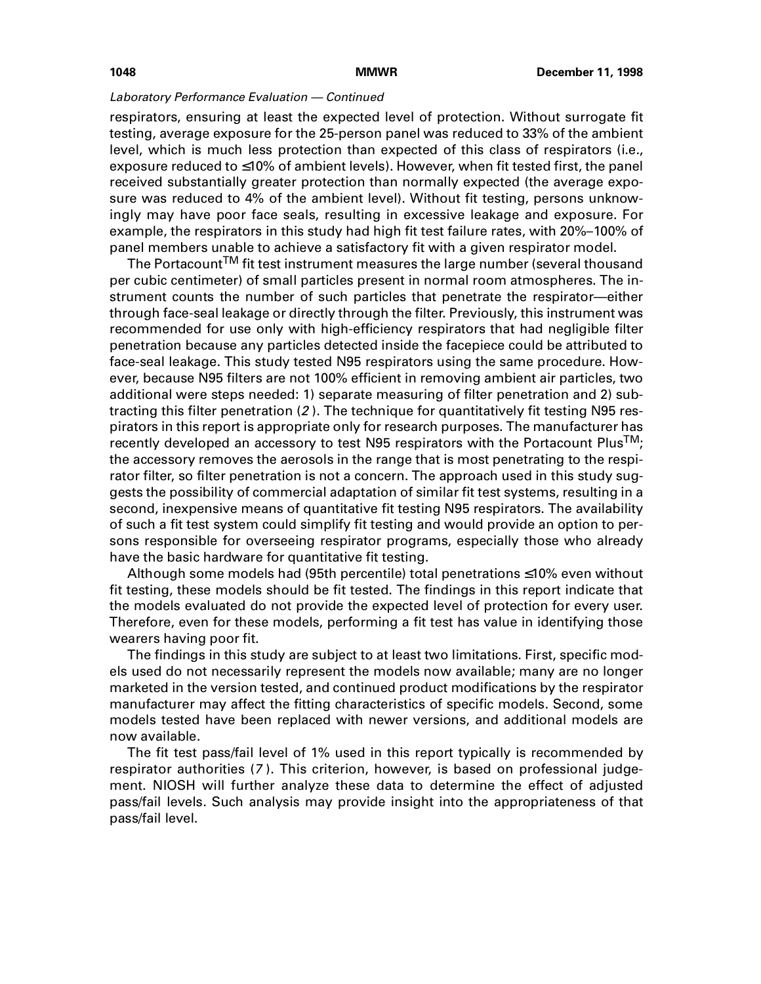respirators, ensuring at least the expected level of protection. Without surrogate fit testing, average exposure for the 25-person panel was reduced to 33% of the ambient level, which is much less protection than expected of this class of respirators (i.e., exposure reduced to ≤10% of ambient levels). However, when fit tested first, the panel received substantially greater protection than normally expected (the average exposure was reduced to 4% of the ambient level). Without fit testing, persons unknowingly may have poor face seals, resulting in excessive leakage and exposure. For example, the respirators in this study had high fit test failure rates, with 20%–100% of panel members unable to achieve a satisfactory fit with a given respirator model.

The Portacount $^{\sf TM}$  fit test instrument measures the large number (several thousand per cubic centimeter) of small particles present in normal room atmospheres. The instrument counts the number of such particles that penetrate the respirator—either through face-seal leakage or directly through the filter. Previously, this instrument was recommended for use only with high-efficiency respirators that had negligible filter penetration because any particles detected inside the facepiece could be attributed to face-seal leakage. This study tested N95 respirators using the same procedure. However, because N95 filters are not 100% efficient in removing ambient air particles, two additional were steps needed: 1) separate measuring of filter penetration and 2) subtracting this filter penetration (2 ). The technique for quantitatively fit testing N95 respirators in this report is appropriate only for research purposes. The manufacturer has recently developed an accessory to test N95 respirators with the Portacount Plus<sup>TM</sup>; the accessory removes the aerosols in the range that is most penetrating to the respirator filter, so filter penetration is not a concern. The approach used in this study suggests the possibility of commercial adaptation of similar fit test systems, resulting in a second, inexpensive means of quantitative fit testing N95 respirators. The availability of such a fit test system could simplify fit testing and would provide an option to persons responsible for overseeing respirator programs, especially those who already have the basic hardware for quantitative fit testing.

Although some models had (95th percentile) total penetrations ≤10% even without fit testing, these models should be fit tested. The findings in this report indicate that the models evaluated do not provide the expected level of protection for every user. Therefore, even for these models, performing a fit test has value in identifying those wearers having poor fit.

The findings in this study are subject to at least two limitations. First, specific models used do not necessarily represent the models now available; many are no longer marketed in the version tested, and continued product modifications by the respirator manufacturer may affect the fitting characteristics of specific models. Second, some models tested have been replaced with newer versions, and additional models are now available.

The fit test pass/fail level of 1% used in this report typically is recommended by respirator authorities (7 ). This criterion, however, is based on professional judgement. NIOSH will further analyze these data to determine the effect of adjusted pass/fail levels. Such analysis may provide insight into the appropriateness of that pass/fail level.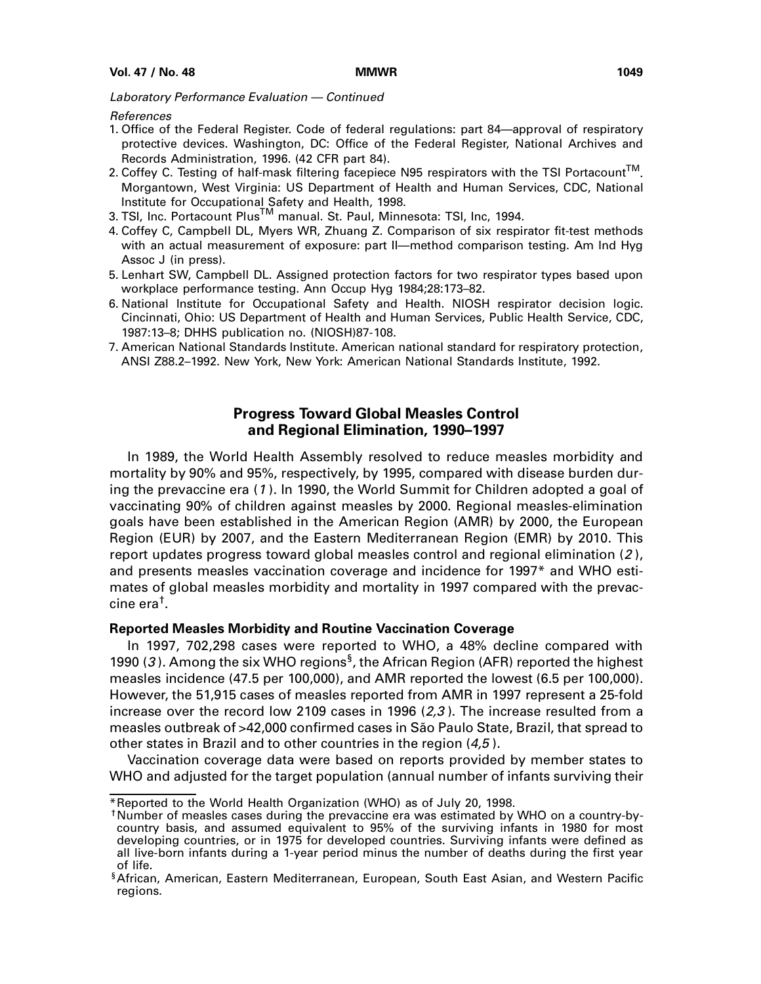### <span id="page-12-0"></span>References

- 1. Office of the Federal Register. Code of federal regulations: part 84—approval of respiratory protective devices. Washington, DC: Office of the Federal Register, National Archives and Records Administration, 1996. (42 CFR part 84).
- 2. Coffey C. Testing of half-mask filtering facepiece N95 respirators with the TSI Portacount™. Morgantown, West Virginia: US Department of Health and Human Services, CDC, National Institute for Occupational Safety and Health, 1998.
- 3. TSI, Inc. Portacount Plus<sup>TM</sup> manual. St. Paul, Minnesota: TSI, Inc, 1994.
- 4. Coffey C, Campbell DL, Myers WR, Zhuang Z. Comparison of six respirator fit-test methods with an actual measurement of exposure: part II—method comparison testing. Am Ind Hyg Assoc J (in press).
- 5. Lenhart SW, Campbell DL. Assigned protection factors for two respirator types based upon workplace performance testing. Ann Occup Hyg 1984;28:173–82.
- 6. National Institute for Occupational Safety and Health. NIOSH respirator decision logic. Cincinnati, Ohio: US Department of Health and Human Services, Public Health Service, CDC, 1987:13–8; DHHS publication no. (NIOSH)87-108.
- 7. American National Standards Institute. American national standard for respiratory protection, ANSI Z88.2–1992. New York, New York: American National Standards Institute, 1992.

# **Progress Toward Global Measles Control and Regional Elimination, 1990–1997**

In 1989, the World Health Assembly resolved to reduce measles morbidity and mortality by 90% and 95%, respectively, by 1995, compared with disease burden during the prevaccine era (1 ). In 1990, the World Summit for Children adopted a goal of vaccinating 90% of children against measles by 2000. Regional measles-elimination goals have been established in the American Region (AMR) by 2000, the European Region (EUR) by 2007, and the Eastern Mediterranean Region (EMR) by 2010. This report updates progress toward global measles control and regional elimination (2 ), and presents measles vaccination coverage and incidence for 1997\* and WHO estimates of global measles morbidity and mortality in 1997 compared with the prevaccine era†.

## **Reported Measles Morbidity and Routine Vaccination Coverage**

In 1997, 702,298 cases were reported to WHO, a 48% decline compared with 1990 (3). Among the six WHO regions<sup>§</sup>, the African Region (AFR) reported the highest measles incidence (47.5 per 100,000), and AMR reported the lowest (6.5 per 100,000). However, the 51,915 cases of measles reported from AMR in 1997 represent a 25-fold increase over the record low 2109 cases in 1996  $(2,3)$ . The increase resulted from a measles outbreak of >42,000 confirmed cases in São Paulo State, Brazil, that spread to other states in Brazil and to other countries in the region (4,5 ).

Vaccination coverage data were based on reports provided by member states to WHO and adjusted for the target population (annual number of infants surviving their

<sup>\*</sup>Reported to the World Health Organization (WHO) as of July 20, 1998.

<sup>†</sup>Number of measles cases during the prevaccine era was estimated by WHO on a country-bycountry basis, and assumed equivalent to 95% of the surviving infants in 1980 for most developing countries, or in 1975 for developed countries. Surviving infants were defined as all live-born infants during a 1-year period minus the number of deaths during the first year of life.

<sup>§</sup>African, American, Eastern Mediterranean, European, South East Asian, and Western Pacific regions.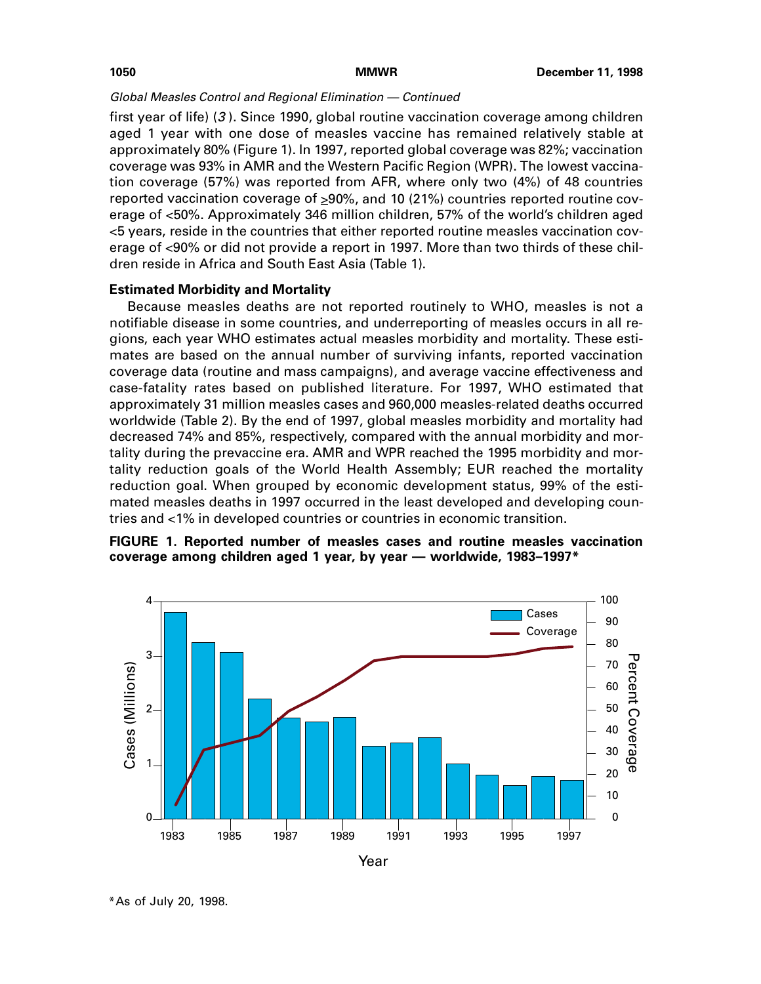first year of life) (3 ). Since 1990, global routine vaccination coverage among children aged 1 year with one dose of measles vaccine has remained relatively stable at approximately 80% (Figure 1). In 1997, reported global coverage was 82%; vaccination coverage was 93% in AMR and the Western Pacific Region (WPR). The lowest vaccination coverage (57%) was reported from AFR, where only two (4%) of 48 countries reported vaccination coverage of  $\geq 90\%$ , and 10 (21%) countries reported routine coverage of <50%. Approximately 346 million children, 57% of the world's children aged <5 years, reside in the countries that either reported routine measles vaccination coverage of <90% or did not provide a report in 1997. More than two thirds of these children reside in Africa and South East Asia (Table 1).

# **Estimated Morbidity and Mortality**

Because measles deaths are not reported routinely to WHO, measles is not a notifiable disease in some countries, and underreporting of measles occurs in all regions, each year WHO estimates actual measles morbidity and mortality. These estimates are based on the annual number of surviving infants, reported vaccination coverage data (routine and mass campaigns), and average vaccine effectiveness and case-fatality rates based on published literature. For 1997, WHO estimated that approximately 31 million measles cases and 960,000 measles-related deaths occurred worldwide (Table 2). By the end of 1997, global measles morbidity and mortality had decreased 74% and 85%, respectively, compared with the annual morbidity and mortality during the prevaccine era. AMR and WPR reached the 1995 morbidity and mortality reduction goals of the World Health Assembly; EUR reached the mortality reduction goal. When grouped by economic development status, 99% of the estimated measles deaths in 1997 occurred in the least developed and developing countries and <1% in developed countries or countries in economic transition.





<sup>\*</sup>As of July 20, 1998.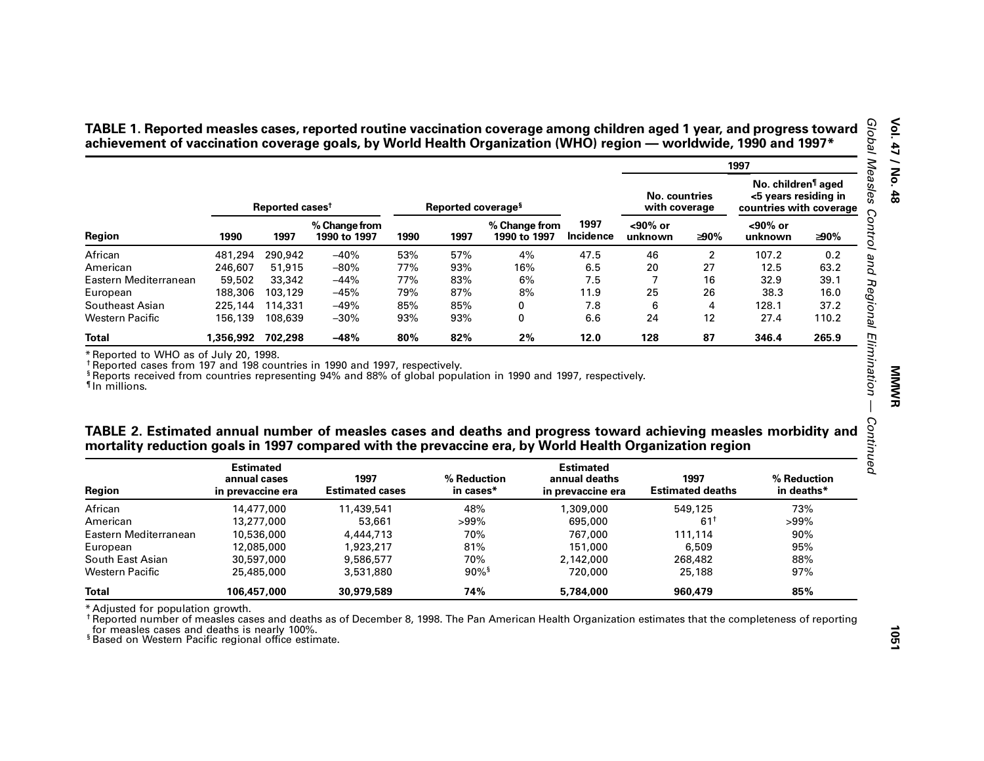|                                                                                                                                                                                                                                                                                                |                                                       |                             |                                |      |                                |                               |                                                        |                                |                                 | 1997                                                                              |                           |
|------------------------------------------------------------------------------------------------------------------------------------------------------------------------------------------------------------------------------------------------------------------------------------------------|-------------------------------------------------------|-----------------------------|--------------------------------|------|--------------------------------|-------------------------------|--------------------------------------------------------|--------------------------------|---------------------------------|-----------------------------------------------------------------------------------|---------------------------|
|                                                                                                                                                                                                                                                                                                |                                                       | Reported cases <sup>t</sup> |                                |      | Reported coverage <sup>§</sup> |                               |                                                        | No. countries<br>with coverage |                                 | No. children <sup>1</sup> aged<br><5 years residing in<br>countries with coverage |                           |
| Region                                                                                                                                                                                                                                                                                         | 1990                                                  | 1997                        | % Change from<br>1990 to 1997  | 1990 | 1997                           | % Change from<br>1990 to 1997 | 1997<br><b>Incidence</b>                               | <90% or<br>unknown             | ≥90%                            | $90%$ or<br>unknown                                                               | ≥90%                      |
| African                                                                                                                                                                                                                                                                                        | 481,294                                               | 290,942                     | $-40%$                         | 53%  | 57%                            | 4%                            | 47.5                                                   | 46                             | $\overline{2}$                  | 107.2                                                                             | 0.2                       |
| American                                                                                                                                                                                                                                                                                       | 246,607                                               | 51,915                      | $-80%$                         | 77%  | 93%                            | 16%                           | 6.5                                                    | 20                             | 27                              | 12.5                                                                              | 63.2                      |
| Eastern Mediterranean                                                                                                                                                                                                                                                                          | 59,502                                                | 33,342                      | $-44%$                         | 77%  | 83%                            | 6%                            | 7.5                                                    | 7                              | 16                              | 32.9                                                                              | 39.1                      |
| European                                                                                                                                                                                                                                                                                       | 188,306                                               | 103,129                     | $-45%$                         | 79%  | 87%                            | 8%                            | 11.9                                                   | 25                             | 26                              | 38.3                                                                              | 16.0                      |
| Southeast Asian                                                                                                                                                                                                                                                                                | 225,144                                               | 114,331                     | $-49%$                         | 85%  | 85%                            | 0                             | 7.8                                                    | 6                              | 4                               | 128.1                                                                             | 37.2                      |
| <b>Western Pacific</b>                                                                                                                                                                                                                                                                         | 156,139                                               | 108,639                     | $-30%$                         | 93%  | 93%                            | 0                             | 6.6                                                    | 24                             | 12                              | 27.4                                                                              | 110.2                     |
|                                                                                                                                                                                                                                                                                                |                                                       |                             |                                |      |                                |                               |                                                        |                                |                                 |                                                                                   |                           |
| <b>Total</b><br>* Reported to WHO as of July 20, 1998.<br><sup>†</sup> Reported cases from 197 and 198 countries in 1990 and 1997, respectively.<br><sup>§</sup> Reports received from countries representing 94% and 88% of global population in 1990 and 1997, respectively.<br>In millions. | 1,356,992 702,298                                     |                             | $-48%$                         | 80%  | 82%                            | 2%                            | 12.0                                                   | 128                            | 87                              | 346.4                                                                             | 265.9                     |
|                                                                                                                                                                                                                                                                                                |                                                       |                             |                                |      |                                |                               |                                                        |                                |                                 |                                                                                   |                           |
| TABLE 2. Estimated annual number of measles cases and deaths and progress toward achieving measles morbidity and<br>mortality reduction goals in 1997 compared with the prevaccine era, by World Health Organization region<br><b>Region</b>                                                   | <b>Estimated</b><br>annual cases<br>in prevaccine era |                             | 1997<br><b>Estimated cases</b> |      | % Reduction<br>in cases*       |                               | <b>Estimated</b><br>annual deaths<br>in prevaccine era |                                | 1997<br><b>Estimated deaths</b> |                                                                                   | % Reduction<br>in deaths* |
|                                                                                                                                                                                                                                                                                                |                                                       | 14,477,000                  | 11,439,541                     |      | 48%                            |                               | 1,309,000                                              |                                | 549,125                         |                                                                                   | 73%                       |
|                                                                                                                                                                                                                                                                                                |                                                       | 13,277,000                  | 53.661                         |      | $>99\%$                        |                               | 695,000                                                |                                | $61^+$                          | $>99\%$                                                                           |                           |
| African<br>American<br>Eastern Mediterranean                                                                                                                                                                                                                                                   |                                                       | 10,536,000                  | 4,444,713                      |      | 70%                            |                               | 767,000                                                |                                | 111,114                         |                                                                                   | 90%                       |
| European                                                                                                                                                                                                                                                                                       |                                                       | 12,085,000                  | 1,923,217                      |      | 81%                            |                               | 151,000                                                |                                | 6,509                           |                                                                                   | 95%                       |
| South East Asian                                                                                                                                                                                                                                                                               |                                                       | 30,597,000                  | 9,586,577                      |      | 70%                            |                               | 2,142,000                                              |                                | 268,482                         |                                                                                   | 88%                       |
| <b>Western Pacific</b>                                                                                                                                                                                                                                                                         |                                                       | 25,485,000                  | 3,531,880                      |      | $90\%$ <sup>§</sup>            |                               | 720,000                                                |                                | 25,188                          |                                                                                   | 97%                       |

| TABLE 2. Estimated annual number of measles cases and deaths and progress toward achieving measles morbidity and |
|------------------------------------------------------------------------------------------------------------------|
| mortality reduction goals in 1997 compared with the prevaccine era, by World Health Organization region          |

| Region                | <b>Estimated</b><br>annual cases<br>in prevaccine era | 1997<br><b>Estimated cases</b> | % Reduction<br>in cases* | <b>Estimated</b><br>annual deaths<br>in prevaccine era | 1997<br><b>Estimated deaths</b> | % Reduction<br>in deaths* |
|-----------------------|-------------------------------------------------------|--------------------------------|--------------------------|--------------------------------------------------------|---------------------------------|---------------------------|
| African               | 14,477,000                                            | 11,439,541                     | 48%                      | 1,309,000                                              | 549,125                         | 73%                       |
| American              | 13,277,000                                            | 53,661                         | $>99\%$                  | 695,000                                                | 61                              | $>99\%$                   |
| Eastern Mediterranean | 10,536,000                                            | 4,444,713                      | 70%                      | 767,000                                                | 111.114                         | 90%                       |
| European              | 12.085.000                                            | 1,923,217                      | 81%                      | 151,000                                                | 6,509                           | 95%                       |
| South East Asian      | 30,597,000                                            | 9,586,577                      | 70%                      | 2,142,000                                              | 268,482                         | 88%                       |
| Western Pacific       | 25,485,000                                            | 3,531,880                      | $90\%$ <sup>§</sup>      | 720,000                                                | 25,188                          | 97%                       |
| <b>Total</b>          | 106.457.000                                           | 30.979.589                     | 74%                      | 5.784.000                                              | 960.479                         | 85%                       |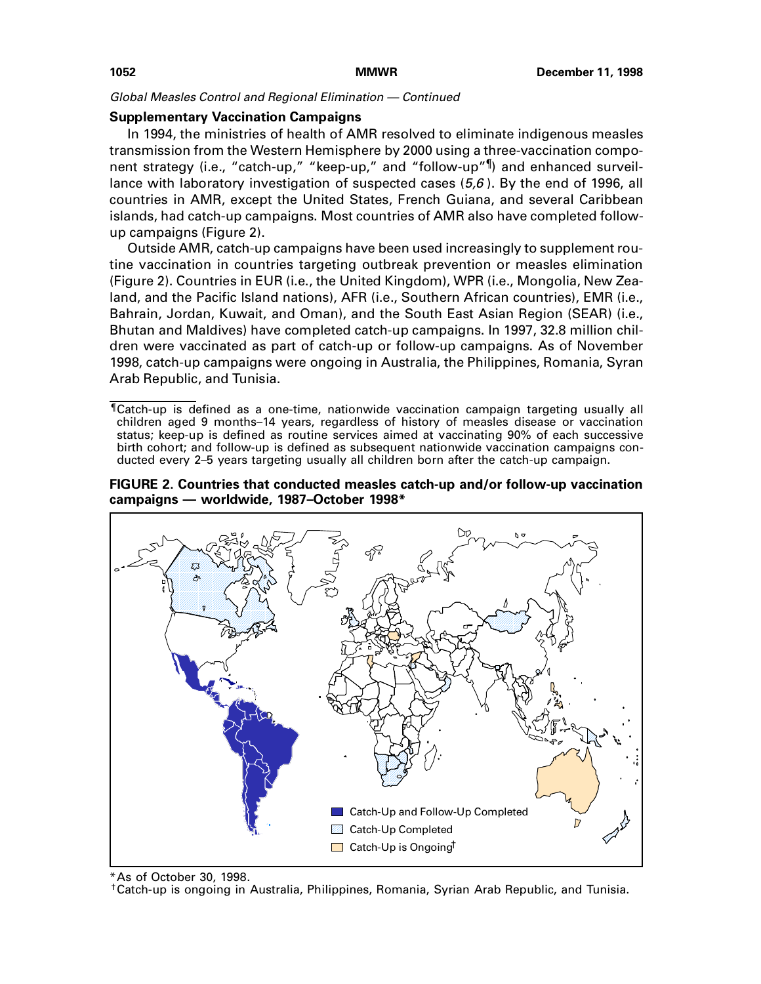## **Supplementary Vaccination Campaigns**

In 1994, the ministries of health of AMR resolved to eliminate indigenous measles transmission from the Western Hemisphere by 2000 using a three-vaccination component strategy (i.e., "catch-up," "keep-up," and "follow-up"<sup>¶</sup>) and enhanced surveillance with laboratory investigation of suspected cases  $(5,6)$ . By the end of 1996, all countries in AMR, except the United States, French Guiana, and several Caribbean islands, had catch-up campaigns. Most countries of AMR also have completed followup campaigns (Figure 2).

Outside AMR, catch-up campaigns have been used increasingly to supplement routine vaccination in countries targeting outbreak prevention or measles elimination (Figure 2). Countries in EUR (i.e., the United Kingdom), WPR (i.e., Mongolia, New Zealand, and the Pacific Island nations), AFR (i.e., Southern African countries), EMR (i.e., Bahrain, Jordan, Kuwait, and Oman), and the South East Asian Region (SEAR) (i.e., Bhutan and Maldives) have completed catch-up campaigns. In 1997, 32.8 million children were vaccinated as part of catch-up or follow-up campaigns. As of November 1998, catch-up campaigns were ongoing in Australia, the Philippines, Romania, Syran Arab Republic, and Tunisia.

<sup>¶</sup>Catch-up is defined as a one-time, nationwide vaccination campaign targeting usually all children aged 9 months–14 years, regardless of history of measles disease or vaccination status; keep-up is defined as routine services aimed at vaccinating 90% of each successive birth cohort; and follow-up is defined as subsequent nationwide vaccination campaigns conducted every 2–5 years targeting usually all children born after the catch-up campaign.





<sup>\*</sup>As of October 30, 1998.

†Catch-up is ongoing in Australia, Philippines, Romania, Syrian Arab Republic, and Tunisia.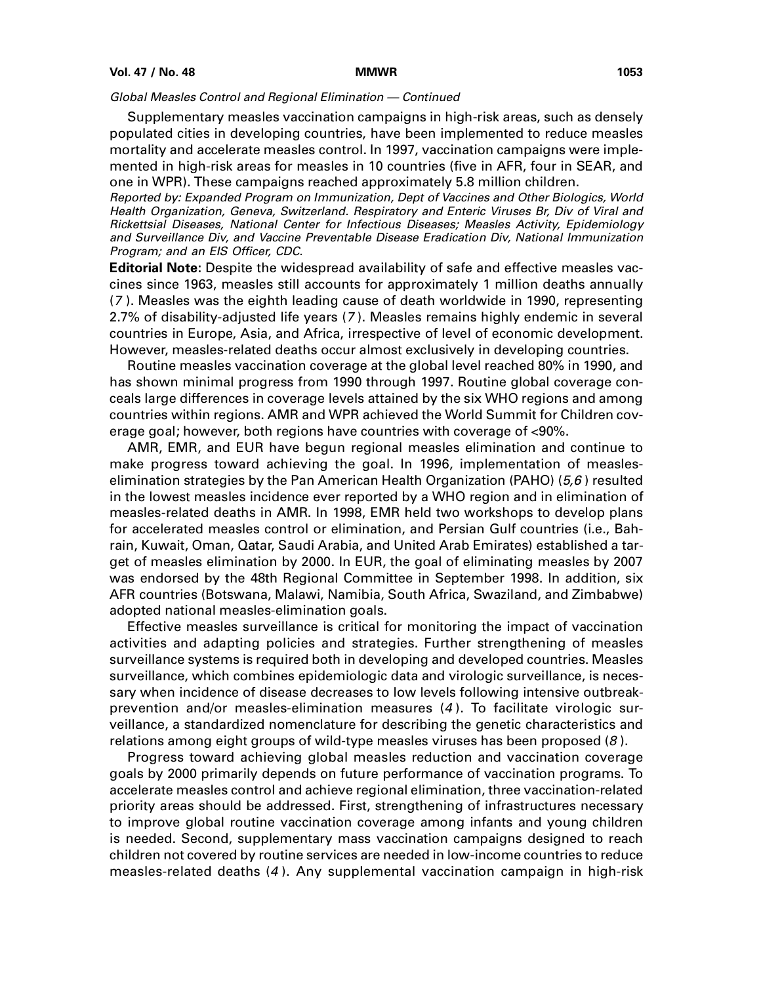Supplementary measles vaccination campaigns in high-risk areas, such as densely populated cities in developing countries, have been implemented to reduce measles mortality and accelerate measles control. In 1997, vaccination campaigns were implemented in high-risk areas for measles in 10 countries (five in AFR, four in SEAR, and one in WPR). These campaigns reached approximately 5.8 million children.

Reported by: Expanded Program on Immunization, Dept of Vaccines and Other Biologics, World Health Organization, Geneva, Switzerland. Respiratory and Enteric Viruses Br, Div of Viral and Rickettsial Diseases, National Center for Infectious Diseases; Measles Activity, Epidemiology and Surveillance Div, and Vaccine Preventable Disease Eradication Div, National Immunization Program; and an EIS Officer, CDC.

**Editorial Note:** Despite the widespread availability of safe and effective measles vaccines since 1963, measles still accounts for approximately 1 million deaths annually (7 ). Measles was the eighth leading cause of death worldwide in 1990, representing 2.7% of disability-adjusted life years (7 ). Measles remains highly endemic in several countries in Europe, Asia, and Africa, irrespective of level of economic development. However, measles-related deaths occur almost exclusively in developing countries.

Routine measles vaccination coverage at the global level reached 80% in 1990, and has shown minimal progress from 1990 through 1997. Routine global coverage conceals large differences in coverage levels attained by the six WHO regions and among countries within regions. AMR and WPR achieved the World Summit for Children coverage goal; however, both regions have countries with coverage of <90%.

AMR, EMR, and EUR have begun regional measles elimination and continue to make progress toward achieving the goal. In 1996, implementation of measleselimination strategies by the Pan American Health Organization (PAHO) ( $5.6$ ) resulted in the lowest measles incidence ever reported by a WHO region and in elimination of measles-related deaths in AMR. In 1998, EMR held two workshops to develop plans for accelerated measles control or elimination, and Persian Gulf countries (i.e., Bahrain, Kuwait, Oman, Qatar, Saudi Arabia, and United Arab Emirates) established a target of measles elimination by 2000. In EUR, the goal of eliminating measles by 2007 was endorsed by the 48th Regional Committee in September 1998. In addition, six AFR countries (Botswana, Malawi, Namibia, South Africa, Swaziland, and Zimbabwe) adopted national measles-elimination goals.

Effective measles surveillance is critical for monitoring the impact of vaccination activities and adapting policies and strategies. Further strengthening of measles surveillance systems is required both in developing and developed countries. Measles surveillance, which combines epidemiologic data and virologic surveillance, is necessary when incidence of disease decreases to low levels following intensive outbreakprevention and/or measles-elimination measures (4 ). To facilitate virologic surveillance, a standardized nomenclature for describing the genetic characteristics and relations among eight groups of wild-type measles viruses has been proposed  $(8)$ .

Progress toward achieving global measles reduction and vaccination coverage goals by 2000 primarily depends on future performance of vaccination programs. To accelerate measles control and achieve regional elimination, three vaccination-related priority areas should be addressed. First, strengthening of infrastructures necessary to improve global routine vaccination coverage among infants and young children is needed. Second, supplementary mass vaccination campaigns designed to reach children not covered by routine services are needed in low-income countries to reduce measles-related deaths (4 ). Any supplemental vaccination campaign in high-risk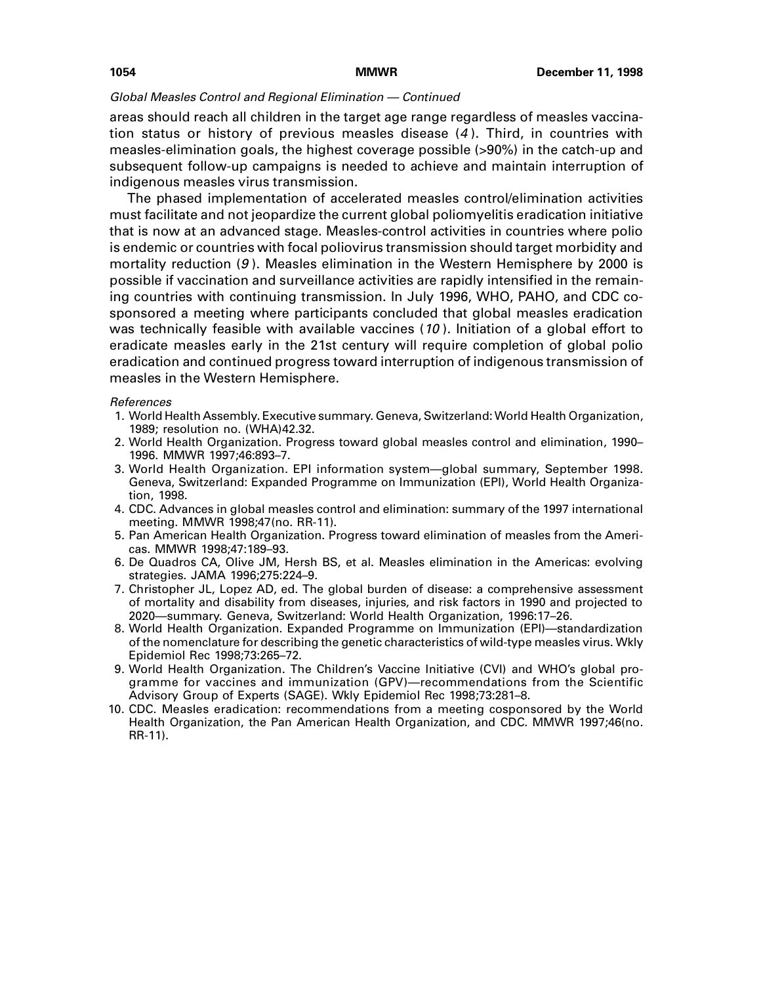areas should reach all children in the target age range regardless of measles vaccination status or history of previous measles disease (4 ). Third, in countries with measles-elimination goals, the highest coverage possible (>90%) in the catch-up and subsequent follow-up campaigns is needed to achieve and maintain interruption of indigenous measles virus transmission.

The phased implementation of accelerated measles control/elimination activities must facilitate and not jeopardize the current global poliomyelitis eradication initiative that is now at an advanced stage. Measles-control activities in countries where polio is endemic or countries with focal poliovirus transmission should target morbidity and mortality reduction  $(9)$ . Measles elimination in the Western Hemisphere by 2000 is possible if vaccination and surveillance activities are rapidly intensified in the remaining countries with continuing transmission. In July 1996, WHO, PAHO, and CDC cosponsored a meeting where participants concluded that global measles eradication was technically feasible with available vaccines (10). Initiation of a global effort to eradicate measles early in the 21st century will require completion of global polio eradication and continued progress toward interruption of indigenous transmission of measles in the Western Hemisphere.

### References

- 1. World Health Assembly. Executive summary. Geneva, Switzerland: World Health Organization, 1989; resolution no. (WHA)42.32.
- 2. World Health Organization. Progress toward global measles control and elimination, 1990– 1996. MMWR 1997;46:893–7.
- 3. World Health Organization. EPI information system—global summary, September 1998. Geneva, Switzerland: Expanded Programme on Immunization (EPI), World Health Organization, 1998.
- 4. CDC. Advances in global measles control and elimination: summary of the 1997 international meeting. MMWR 1998;47(no. RR-11).
- 5. Pan American Health Organization. Progress toward elimination of measles from the Americas. MMWR 1998;47:189–93.
- 6. De Quadros CA, Olive JM, Hersh BS, et al. Measles elimination in the Americas: evolving strategies. JAMA 1996;275:224–9.
- 7. Christopher JL, Lopez AD, ed. The global burden of disease: a comprehensive assessment of mortality and disability from diseases, injuries, and risk factors in 1990 and projected to 2020—summary. Geneva, Switzerland: World Health Organization, 1996:17–26.
- 8. World Health Organization. Expanded Programme on Immunization (EPI)—standardization of the nomenclature for describing the genetic characteristics of wild-type measles virus. Wkly Epidemiol Rec 1998;73:265–72.
- 9. World Health Organization. The Children's Vaccine Initiative (CVI) and WHO's global programme for vaccines and immunization (GPV)—recommendations from the Scientific Advisory Group of Experts (SAGE). Wkly Epidemiol Rec 1998;73:281–8.
- 10. CDC. Measles eradication: recommendations from a meeting cosponsored by the World Health Organization, the Pan American Health Organization, and CDC. MMWR 1997;46(no. RR-11).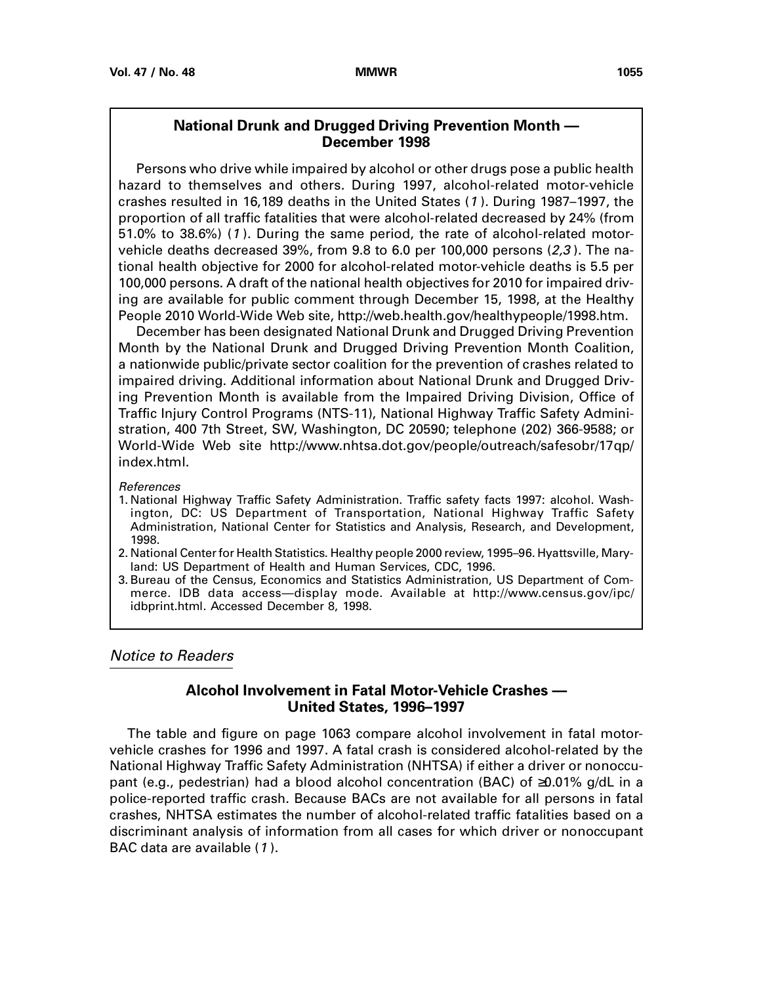# **National Drunk and Drugged Driving Prevention Month — December 1998**

<span id="page-18-0"></span>Persons who drive while impaired by alcohol or other drugs pose a public health hazard to themselves and others. During 1997, alcohol-related motor-vehicle crashes resulted in 16,189 deaths in the United States (1 ). During 1987–1997, the proportion of all traffic fatalities that were alcohol-related decreased by 24% (from 51.0% to 38.6%) (1 ). During the same period, the rate of alcohol-related motorvehicle deaths decreased 39%, from 9.8 to 6.0 per 100,000 persons  $(2,3)$ . The national health objective for 2000 for alcohol-related motor-vehicle deaths is 5.5 per 100,000 persons. A draft of the national health objectives for 2010 for impaired driving are available for public comment through December 15, 1998, at the Healthy People 2010 World-Wide Web site, http://web.health.gov/healthypeople/1998.htm.

December has been designated National Drunk and Drugged Driving Prevention Month by the National Drunk and Drugged Driving Prevention Month Coalition, a nationwide public/private sector coalition for the prevention of crashes related to impaired driving. Additional information about National Drunk and Drugged Driving Prevention Month is available from the Impaired Driving Division, Office of Traffic Injury Control Programs (NTS-11), National Highway Traffic Safety Administration, 400 7th Street, SW, Washington, DC 20590; telephone (202) 366-9588; or World-Wide Web site http://www.nhtsa.dot.gov/people/outreach/safesobr/17qp/ index.html.

References

1. National Highway Traffic Safety Administration. Traffic safety facts 1997: alcohol. Washington, DC: US Department of Transportation, National Highway Traffic Safety Administration, National Center for Statistics and Analysis, Research, and Development, 1998.

2. National Center for Health Statistics. Healthy people 2000 review, 1995–96. Hyattsville, Maryland: US Department of Health and Human Services, CDC, 1996.

3. Bureau of the Census, Economics and Statistics Administration, US Department of Commerce. IDB data access—display mode. Available at http://www.census.gov/ipc/ idbprint.html. Accessed December 8, 1998.

# Notice to Readers

# **Alcohol Involvement in Fatal Motor-Vehicle Crashes — United States, 1996–1997**

The table and figure on page 1063 compare alcohol involvement in fatal motorvehicle crashes for 1996 and 1997. A fatal crash is considered alcohol-related by the National Highway Traffic Safety Administration (NHTSA) if either a driver or nonoccupant (e.g., pedestrian) had a blood alcohol concentration (BAC) of  $\geq$ 0.01% g/dL in a police-reported traffic crash. Because BACs are not available for all persons in fatal crashes, NHTSA estimates the number of alcohol-related traffic fatalities based on a discriminant analysis of information from all cases for which driver or nonoccupant BAC data are available (1 ).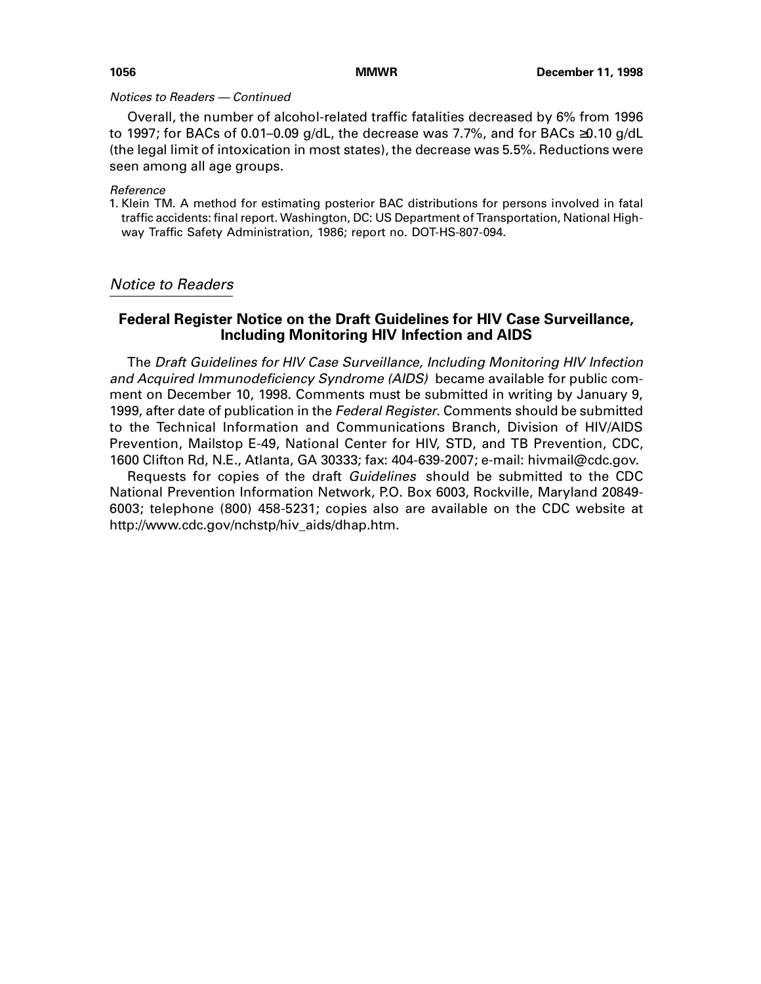## Notices to Readers — Continued

Overall, the number of alcohol-related traffic fatalities decreased by 6% from 1996 to 1997; for BACs of 0.01–0.09 g/dL, the decrease was 7.7%, and for BACs ≥0.10 g/dL (the legal limit of intoxication in most states), the decrease was 5.5%. Reductions were seen among all age groups.

## Reference

1. Klein TM. A method for estimating posterior BAC distributions for persons involved in fatal traffic accidents: final report. Washington, DC: US Department of Transportation, National Highway Traffic Safety Administration, 1986; report no. DOT-HS-807-094.

# Notice to Readers

# **Federal Register Notice on the Draft Guidelines for HIV Case Surveillance, Including Monitoring HIV Infection and AIDS**

The Draft Guidelines for HIV Case Surveillance, Including Monitoring HIV Infection and Acquired Immunodeficiency Syndrome (AIDS) became available for public comment on December 10, 1998. Comments must be submitted in writing by January 9, 1999, after date of publication in the Federal Register. Comments should be submitted to the Technical Information and Communications Branch, Division of HIV/AIDS Prevention, Mailstop E-49, National Center for HIV, STD, and TB Prevention, CDC, 1600 Clifton Rd, N.E., Atlanta, GA 30333; fax: 404-639-2007; e-mail: hivmail@cdc.gov.

Requests for copies of the draft Guidelines should be submitted to the CDC National Prevention Information Network, P.O. Box 6003, Rockville, Maryland 20849- 6003; telephone (800) 458-5231; copies also are available on the CDC website at http://www.cdc.gov/nchstp/hiv\_aids/dhap.htm.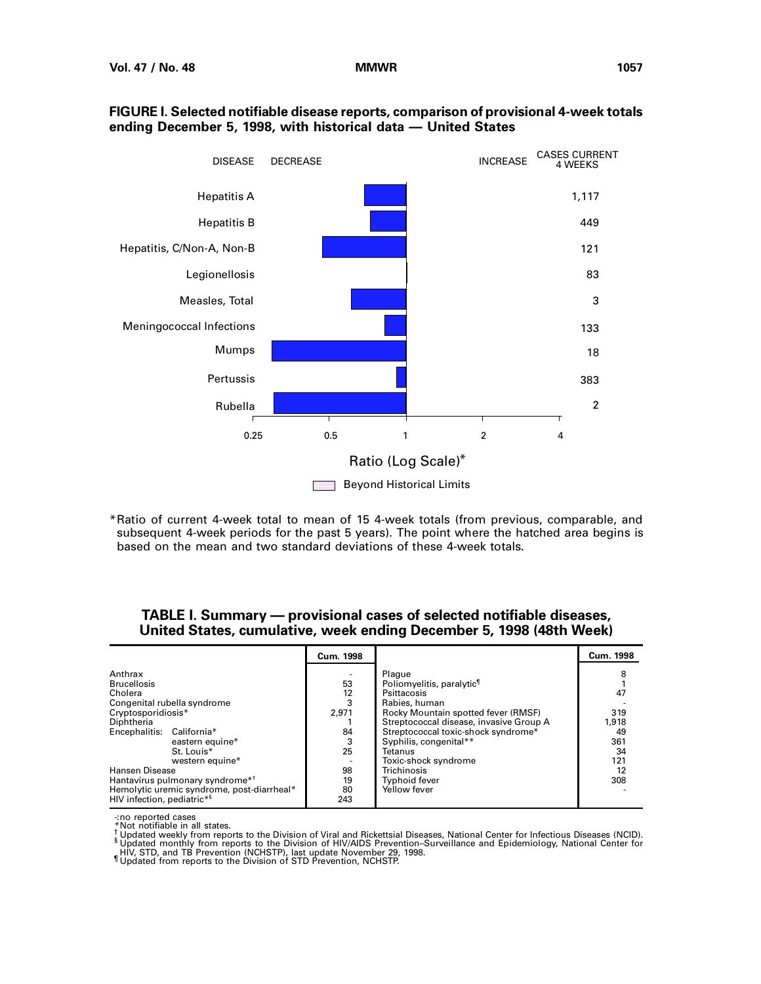

## **FIGURE I. Selected notifiable disease reports, comparison of provisional 4-week totals ending December 5, 1998, with historical data — United States**

\*Ratio of current 4-week total to mean of 15 4-week totals (from previous, comparable, and subsequent 4-week periods for the past 5 years). The point where the hatched area begins is based on the mean and two standard deviations of these 4-week totals.

# **TABLE I. Summary — provisional cases of selected notifiable diseases, United States, cumulative, week ending December 5, 1998 (48th Week)**

|                                                                                                                                                                                                                                                                                                                                                              | Cum. 1998                                                   |                                                                                                                                                                                                                                                                                                                                     | <b>Cum. 1998</b>                                               |
|--------------------------------------------------------------------------------------------------------------------------------------------------------------------------------------------------------------------------------------------------------------------------------------------------------------------------------------------------------------|-------------------------------------------------------------|-------------------------------------------------------------------------------------------------------------------------------------------------------------------------------------------------------------------------------------------------------------------------------------------------------------------------------------|----------------------------------------------------------------|
| Anthrax<br><b>Brucellosis</b><br>Cholera<br>Congenital rubella syndrome<br>Cryptosporidiosis*<br>Diphtheria<br>Encephalitis: California*<br>eastern equine*<br>St. Louis*<br>western equine*<br><b>Hansen Disease</b><br>Hantavirus pulmonary syndrome* <sup>†</sup><br>Hemolytic uremic syndrome, post-diarrheal*<br>HIV infection, pediatric* <sup>§</sup> | 53<br>12<br>2.971<br>84<br>3<br>25<br>98<br>19<br>80<br>243 | Plague<br>Poliomyelitis, paralytic <sup>1</sup><br>Psittacosis<br>Rabies, human<br>Rocky Mountain spotted fever (RMSF)<br>Streptococcal disease, invasive Group A<br>Streptococcal toxic-shock syndrome*<br>Syphilis, congenital**<br>Tetanus<br>Toxic-shock syndrome<br><b>Trichinosis</b><br><b>Typhoid fever</b><br>Yellow fever | 8<br>47<br>319<br>1,918<br>49<br>361<br>34<br>121<br>12<br>308 |

-: no reported cases

\*Not notifiable in all states.

<sup>†</sup> Updated weekly from reports to the Division of Viral and Rickettsial Diseases, National Center for Infectious Diseases (NCID).<br><sup>§</sup> Updated monthly from reports to the Division of HIV/AIDS Prevention–Surveillance and Ep

HIV, STD, and TB Prevention (NCHSTP), last update November 29, 1998. ¶ Updated from reports to the Division of STD Prevention, NCHSTP.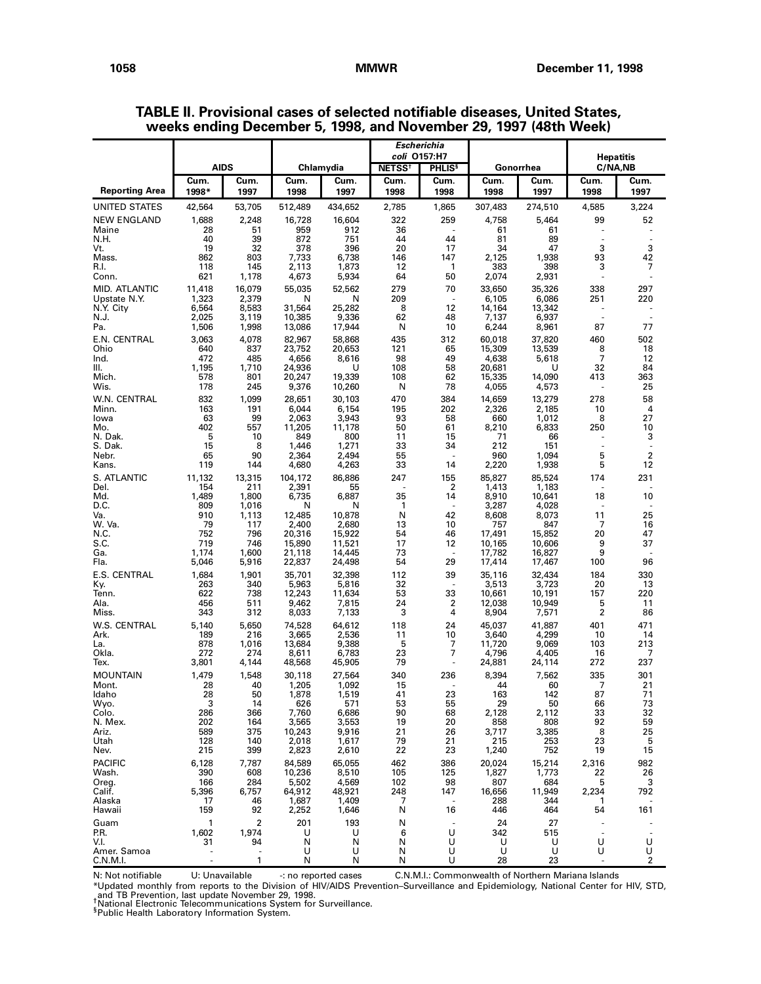|                               |                       |                         |                  |                  |                          | Escherichia                              |                  |                  | <b>Hepatitis</b>         |              |  |
|-------------------------------|-----------------------|-------------------------|------------------|------------------|--------------------------|------------------------------------------|------------------|------------------|--------------------------|--------------|--|
|                               |                       | <b>AIDS</b>             |                  | Chlamydia        | <b>NETSS<sup>t</sup></b> | coli 0157:H7<br><b>PHLIS<sup>§</sup></b> |                  | Gonorrhea        | C/NA,NB                  |              |  |
| <b>Reporting Area</b>         | Cum.<br>1998*         | Cum.<br>1997            | Cum.<br>1998     | Cum.<br>1997     | Cum.<br>1998             | Cum.<br>1998                             | Cum.<br>1998     | Cum.<br>1997     | Cum.<br>1998             | Cum.<br>1997 |  |
| UNITED STATES                 | 42,564                | 53,705                  | 512,489          | 434,652          | 2,785                    | 1,865                                    | 307,483          | 274,510          | 4,585                    | 3,224        |  |
| <b>NEW ENGLAND</b>            | 1,688                 | 2,248                   | 16,728           | 16,604           | 322                      | 259                                      | 4,758            | 5,464            | 99                       | 52           |  |
| Maine<br>N.H.                 | 28<br>40              | 51<br>39                | 959<br>872       | 912<br>751       | 36<br>44                 | 44                                       | 61<br>81         | 61<br>89         | $\overline{\phantom{a}}$ |              |  |
| Vt.                           | 19                    | 32                      | 378              | 396              | 20                       | 17                                       | 34               | 47               | 3                        | 3            |  |
| Mass.<br>R.I.                 | 862<br>118            | 803<br>145              | 7,733<br>2,113   | 6,738<br>1,873   | 146<br>12                | 147<br>1                                 | 2,125<br>383     | 1,938<br>398     | 93<br>3                  | 42<br>7      |  |
| Conn.                         | 621                   | 1,178                   | 4,673            | 5,934            | 64                       | 50                                       | 2,074            | 2,931            |                          |              |  |
| MID. ATLANTIC<br>Upstate N.Y. | 11,418<br>1,323       | 16,079<br>2,379         | 55,035<br>N      | 52,562<br>N      | 279<br>209               | 70<br>÷.                                 | 33,650<br>6,105  | 35,326<br>6,086  | 338<br>251               | 297<br>220   |  |
| N.Y. City                     | 6,564                 | 8,583                   | 31,564           | 25,282           | 8                        | 12                                       | 14,164           | 13,342           |                          |              |  |
| N.J.<br>Pa.                   | 2,025<br>1,506        | 3,119<br>1,998          | 10.385<br>13,086 | 9,336<br>17,944  | 62<br>N                  | 48<br>10                                 | 7,137<br>6,244   | 6,937<br>8,961   | 87                       | 77           |  |
| E.N. CENTRAL                  | 3,063                 | 4,078                   | 82,967           | 58,868           | 435                      | 312                                      | 60,018           | 37,820           | 460                      | 502          |  |
| Ohio<br>Ind.                  | 640<br>472            | 837<br>485              | 23,752<br>4,656  | 20,653<br>8,616  | 121<br>98                | 65<br>49                                 | 15,309<br>4,638  | 13,539<br>5,618  | 8<br>7                   | 18<br>12     |  |
| Ш.                            | 1,195                 | 1,710                   | 24,936           | U                | 108                      | 58                                       | 20,681           | U                | 32                       | 84           |  |
| Mich.<br>Wis.                 | 578<br>178            | 801<br>245              | 20,247<br>9,376  | 19,339<br>10,260 | 108<br>N                 | 62<br>78                                 | 15,335<br>4,055  | 14,090<br>4,573  | 413                      | 363<br>25    |  |
| W.N. CENTRAL                  | 832                   | 1,099                   | 28,651           | 30,103           | 470                      | 384                                      | 14,659           | 13,279           | 278                      | 58           |  |
| Minn.<br>lowa                 | 163<br>63             | 191<br>99               | 6,044<br>2,063   | 6,154<br>3,943   | 195<br>93                | 202<br>58                                | 2,326<br>660     | 2,185<br>1,012   | 10<br>8                  | 4<br>27      |  |
| Mo.                           | 402                   | 557                     | 11,205           | 11,178           | 50                       | 61                                       | 8,210            | 6,833            | 250                      | 10           |  |
| N. Dak.<br>S. Dak.            | 5<br>15               | 10<br>8                 | 849<br>1,446     | 800<br>1,271     | 11<br>33                 | 15<br>34                                 | 71<br>212        | 66<br>151        | $\overline{a}$           | 3            |  |
| Nebr.                         | 65                    | 90                      | 2,364            | 2,494            | 55                       | ä,                                       | 960              | 1,094            | 5                        | 2            |  |
| Kans.<br>S. ATLANTIC          | 119<br>11,132         | 144<br>13,315           | 4,680<br>104,172 | 4,263<br>86,886  | 33<br>247                | 14<br>155                                | 2,220<br>85,827  | 1,938<br>85,524  | 5<br>174                 | 12<br>231    |  |
| Del.                          | 154                   | 211                     | 2,391            | 55               |                          | 2                                        | 1,413            | 1,183            |                          |              |  |
| Md.<br>D.C.                   | 1,489<br>809          | 1,800<br>1,016          | 6,735<br>N       | 6,887<br>N       | 35<br>1                  | 14<br>٠                                  | 8,910<br>3,287   | 10,641<br>4,028  | 18                       | 10           |  |
| Va.                           | 910                   | 1,113                   | 12,485           | 10,878           | N                        | 42                                       | 8,608            | 8,073            | 11                       | 25           |  |
| W. Va.<br>N.C.                | 79<br>752             | 117<br>796              | 2,400<br>20,316  | 2,680<br>15,922  | 13<br>54                 | 10<br>46                                 | 757<br>17,491    | 847<br>15,852    | 7<br>20                  | 16<br>47     |  |
| S.C.<br>Ga.                   | 719<br>1,174          | 746<br>1,600            | 15,890<br>21,118 | 11,521<br>14,445 | 17<br>73                 | 12<br>$\sim$                             | 10,165<br>17,782 | 10,606<br>16,827 | 9<br>9                   | 37           |  |
| Fla.                          | 5,046                 | 5,916                   | 22,837           | 24,498           | 54                       | 29                                       | 17,414           | 17,467           | 100                      | 96           |  |
| E.S. CENTRAL                  | 1,684                 | 1,901                   | 35,701           | 32,398           | 112                      | 39                                       | 35,116           | 32,434           | 184                      | 330          |  |
| Ky.<br>Tenn.                  | 263<br>622            | 340<br>738              | 5,963<br>12,243  | 5,816<br>11,634  | 32<br>53                 | 33                                       | 3,513<br>10,661  | 3,723<br>10,191  | 20<br>157                | 13<br>220    |  |
| Ala.<br>Miss.                 | 456<br>343            | 511<br>312              | 9,462<br>8,033   | 7,815<br>7,133   | 24<br>3                  | 2<br>4                                   | 12,038<br>8,904  | 10,949<br>7,571  | 5<br>2                   | 11<br>86     |  |
| W.S. CENTRAL                  | 5,140                 | 5,650                   | 74.528           | 64,612           | 118                      | 24                                       | 45,037           | 41,887           | 401                      | 471          |  |
| Ark.                          | 189                   | 216<br>1.016            | 3,665<br>13,684  | 2,536            | 11                       | 10                                       | 3,640            | 4,299            | 10                       | 14           |  |
| La.<br>Okla.                  | 878<br>272            | 274                     | 8,611            | 9,388<br>6,783   | 5<br>23                  | 7<br>7                                   | 11,720<br>4,796  | 9,069<br>4,405   | 103<br>16                | 213<br>7     |  |
| Tex.                          | 3,801                 | 4,144                   | 48,568           | 45,905           | 79                       | $\sim$                                   | 24,881           | 24,114           | 272                      | 237          |  |
| <b>MOUNTAIN</b><br>Mont.      | 1,479<br>28           | 1,548<br>40             | 30,118<br>1,205  | 27,564<br>1,092  | 340<br>15                | 236<br>٠                                 | 8,394<br>44      | 7,562<br>60      | 335<br>7                 | 301<br>21    |  |
| Idaho                         | 28                    | 50                      | 1,878            | 1,519            | 41                       | 23                                       | 163              | 142              | 87                       | 71           |  |
| Wyo.<br>Colo.                 | 3<br>286              | 14<br>366               | 626<br>7,760     | 571<br>6,686     | 53<br>90                 | 55<br>68                                 | 29<br>2,128      | 50<br>2,112      | 66<br>33                 | 73<br>32     |  |
| N. Mex.                       | 202<br>589            | 164<br>375              | 3,565            | 3,553            | 19                       | 20                                       | 858              | 808              | 92<br>8                  | 59           |  |
| Ariz.<br>Utah                 | 128                   | 140                     | 10,243<br>2,018  | 9,916<br>1,617   | 21<br>79                 | 26<br>21                                 | 3,717<br>215     | 3,385<br>253     | 23                       | 25<br>5      |  |
| Nev.                          | 215                   | 399                     | 2,823            | 2,610            | 22                       | 23                                       | 1,240            | 752              | 19                       | 15           |  |
| <b>PACIFIC</b><br>Wash.       | 6,128<br>390          | 7,787<br>608            | 84,589<br>10,236 | 65,055<br>8,510  | 462<br>105               | 386<br>125                               | 20,024<br>1,827  | 15,214<br>1,773  | 2,316<br>22              | 982<br>26    |  |
| Oreg.                         | 166                   | 284                     | 5,502            | 4,569            | 102                      | 98                                       | 807              | 684              | 5                        | 3            |  |
| Calif.<br>Alaska              | 5,396<br>17           | 6,757<br>46             | 64,912<br>1,687  | 48,921<br>1,409  | 248<br>7                 | 147                                      | 16,656<br>288    | 11,949<br>344    | 2,234<br>$\mathbf{1}$    | 792          |  |
| Hawaii                        | 159                   | 92                      | 2,252            | 1,646            | N                        | 16                                       | 446              | 464              | 54                       | 161          |  |
| Guam<br>P.R.                  | $\mathbf{1}$<br>1,602 | $\overline{2}$<br>1,974 | 201<br>U         | 193<br>U         | N<br>6                   | U                                        | 24<br>342        | 27<br>515        |                          |              |  |
| V.I.                          | 31                    | 94                      | N                | N                | N                        | U                                        | U                | U                | U                        | U            |  |
| Amer. Samoa<br>C.N.M.I.       | ÷,                    | ÷.<br>1                 | U<br>Ν           | U<br>N           | N<br>N                   | U<br>U                                   | U<br>28          | U<br>23          | U                        | U<br>2       |  |

**TABLE II. Provisional cases of selected notifiable diseases, United States, weeks ending December 5, 1998, and November 29, 1997 (48th Week)**

N: Not notifiable U: Unavailable -: no reported cases C.N.M.I.: Commonwealth of Northern Mariana Islands

\*Updated monthly from reports to the Division of HIV/AIDS Prevention–Surveillance and Epidemiology, National Center for HIV, STD,<br>\_and TB Prevention, last update November 29, 1998.<br><sup>†</sup>National Electronic Telecommunications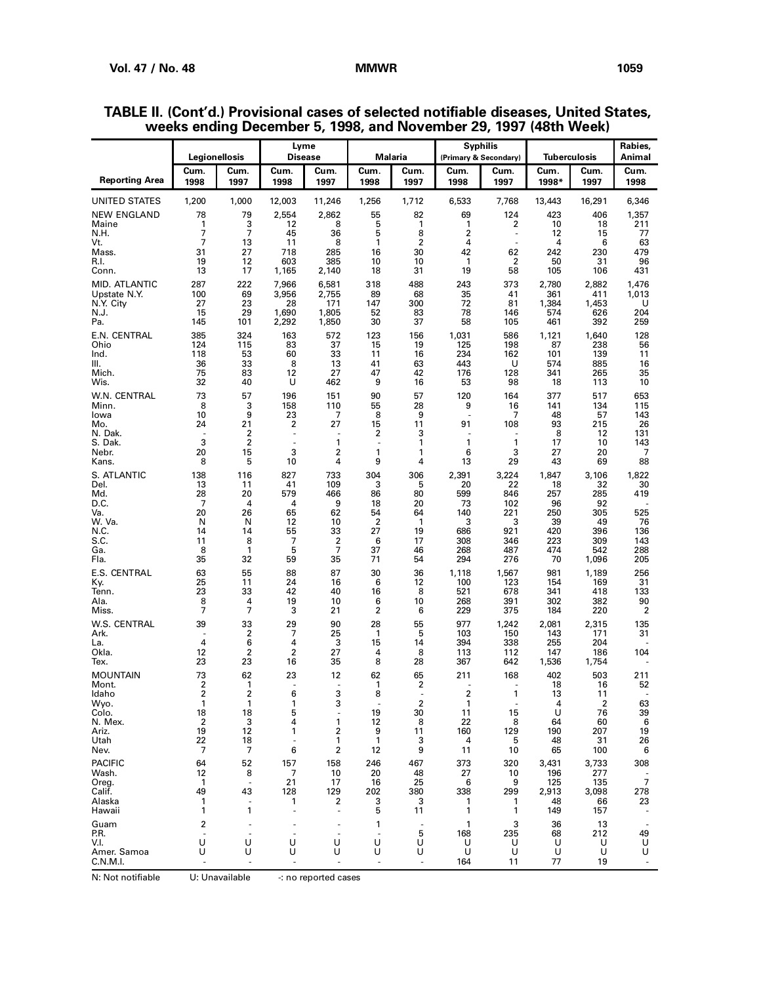|                                                                | Legionellosis                                       |                                               | Lyme<br>Disease                         |                                                   |                                         | Malaria                                            |                                            | <b>Syphilis</b><br>(Primary & Secondary) | Tuberculosis                              |                                                         | Rabies,<br>Animal                     |
|----------------------------------------------------------------|-----------------------------------------------------|-----------------------------------------------|-----------------------------------------|---------------------------------------------------|-----------------------------------------|----------------------------------------------------|--------------------------------------------|------------------------------------------|-------------------------------------------|---------------------------------------------------------|---------------------------------------|
| Reporting Area                                                 | Cum.<br>1998                                        | Cum.<br>1997                                  | Cum.<br>1998                            | Cum.<br>1997                                      | Cum.<br>1998                            | Cum.<br>1997                                       | Cum.<br>1998                               | Cum.<br>1997                             | Cum.<br>1998*                             | Cum.<br>1997                                            | Cum.<br>1998                          |
| UNITED STATES                                                  | 1,200                                               | 1,000                                         | 12,003                                  | 11,246                                            | 1,256                                   | 1,712                                              | 6,533                                      | 7,768                                    | 13,443                                    | 16,291                                                  | 6,346                                 |
| <b>NEW ENGLAND</b><br>Maine<br>N.H.<br>Vt.                     | 78<br>1<br>7<br>7                                   | 79<br>3<br>7<br>13                            | 2,554<br>12<br>45<br>11                 | 2,862<br>8<br>36<br>8                             | 55<br>5<br>5<br>1                       | 82<br>1<br>8<br>$\overline{2}$                     | 69<br>1<br>2<br>4                          | 124<br>2<br>$\sim$                       | 423<br>10<br>12<br>4                      | 406<br>18<br>15<br>6                                    | 1,357<br>211<br>77<br>63              |
| Mass.<br>R.I.<br>Conn.                                         | 31<br>19<br>13                                      | 27<br>12<br>17                                | 718<br>603<br>1,165                     | 285<br>385<br>2,140                               | 16<br>10<br>18                          | 30<br>10<br>31                                     | 42<br>1<br>19                              | 62<br>2<br>58                            | 242<br>50<br>105                          | 230<br>31<br>106                                        | 479<br>96<br>431                      |
| MID. ATLANTIC<br>Upstate N.Y.<br>N.Y. City<br>N.J.<br>Pa.      | 287<br>100<br>27<br>15<br>145                       | 222<br>69<br>23<br>29<br>101                  | 7,966<br>3,956<br>28<br>1,690<br>2,292  | 6,581<br>2,755<br>171<br>1,805<br>1,850           | 318<br>89<br>147<br>52<br>30            | 488<br>68<br>300<br>83<br>37                       | 243<br>35<br>72<br>78<br>58                | 373<br>41<br>81<br>146<br>105            | 2,780<br>361<br>1,384<br>574<br>461       | 2,882<br>411<br>1,453<br>626<br>392                     | 1,476<br>1,013<br>U<br>204<br>259     |
| E.N. CENTRAL<br>Ohio<br>Ind.<br>Ш.<br>Mich.<br>Wis.            | 385<br>124<br>118<br>36<br>75<br>32                 | 324<br>115<br>53<br>33<br>83<br>40            | 163<br>83<br>60<br>8<br>12<br>U         | 572<br>37<br>33<br>13<br>27<br>462                | 123<br>15<br>11<br>41<br>47<br>9        | 156<br>19<br>16<br>63<br>42<br>16                  | 1,031<br>125<br>234<br>443<br>176<br>53    | 586<br>198<br>162<br>U<br>128<br>98      | 1,121<br>87<br>101<br>574<br>341<br>18    | 1,640<br>238<br>139<br>885<br>265<br>113                | 128<br>56<br>11<br>16<br>35<br>10     |
| W.N. CENTRAL<br>Minn.<br>lowa<br>Mo.<br>N. Dak.<br>S. Dak.     | 73<br>8<br>10<br>24<br>÷,<br>3                      | 57<br>3<br>9<br>21<br>2<br>$\overline{2}$     | 196<br>158<br>23<br>2<br>ä,             | 151<br>110<br>7<br>27<br>1                        | 90<br>55<br>8<br>15<br>2<br>÷,          | 57<br>28<br>9<br>11<br>3<br>1                      | 120<br>9<br>91<br>1                        | 164<br>16<br>7<br>108<br>1               | 377<br>141<br>48<br>93<br>8<br>17         | 517<br>134<br>57<br>215<br>12<br>10                     | 653<br>115<br>143<br>26<br>131<br>143 |
| Nebr.<br>Kans.                                                 | 20<br>8                                             | 15<br>5                                       | 3<br>10                                 | 2<br>4                                            | 1<br>9                                  | 1<br>4                                             | 6<br>13                                    | 3<br>29                                  | 27<br>43                                  | 20<br>69                                                | 7<br>88                               |
| S. ATLANTIC<br>Del.<br>Md.<br>D.C.<br>Va.                      | 138<br>13<br>28<br>7<br>20                          | 116<br>11<br>20<br>4<br>26                    | 827<br>41<br>579<br>4<br>65             | 733<br>109<br>466<br>9<br>62                      | 304<br>3<br>86<br>18<br>54              | 306<br>5<br>80<br>20<br>64                         | 2,391<br>20<br>599<br>73<br>140            | 3,224<br>22<br>846<br>102<br>221         | 1,847<br>18<br>257<br>96<br>250           | 3,106<br>32<br>285<br>92<br>305                         | 1,822<br>30<br>419<br>525             |
| W. Va.<br>N.C<br>S.C.<br>Ga.<br>Fla.                           | N<br>14<br>11<br>8<br>35                            | N<br>14<br>8<br>1<br>32                       | 12<br>55<br>7<br>5<br>59                | 10<br>33<br>2<br>7<br>35                          | 2<br>27<br>6<br>37<br>71                | $\mathbf{1}$<br>19<br>17<br>46<br>54               | 3<br>686<br>308<br>268<br>294              | 3<br>921<br>346<br>487<br>276            | 39<br>420<br>223<br>474<br>70             | 49<br>396<br>309<br>542<br>1,096                        | 76<br>136<br>143<br>288<br>205        |
| E.S. CENTRAL<br>Ky.<br>Tenn.<br>Ala.<br>Miss.                  | 63<br>25<br>23<br>8<br>7                            | 55<br>11<br>33<br>4<br>7                      | 88<br>24<br>42<br>19<br>3               | 87<br>16<br>40<br>10<br>21                        | 30<br>6<br>16<br>6<br>$\overline{2}$    | 36<br>12<br>8<br>10<br>6                           | 1,118<br>100<br>521<br>268<br>229          | 1,567<br>123<br>678<br>391<br>375        | 981<br>154<br>341<br>302<br>184           | 1,189<br>169<br>418<br>382<br>220                       | 256<br>31<br>133<br>90<br>2           |
| W.S. CENTRAL<br>Ark.<br>La.<br>Okla.<br>Tex.                   | 39<br>4<br>12<br>23                                 | 33<br>2<br>6<br>$\overline{\mathbf{c}}$<br>23 | 29<br>7<br>4<br>2<br>16                 | 90<br>25<br>3<br>27<br>35                         | 28<br>1<br>15<br>4<br>8                 | 55<br>5<br>14<br>8<br>28                           | 977<br>103<br>394<br>113<br>367            | 1,242<br>150<br>338<br>112<br>642        | 2,081<br>143<br>255<br>147<br>1,536       | 2,315<br>171<br>204<br>186<br>1,754                     | 135<br>31<br>104                      |
| <b>MOUNTAIN</b><br>Mont.<br>Idaho                              | 73<br>2<br>2                                        | 62<br>1<br>2                                  | 23<br>6                                 | 12<br>٠<br>3                                      | 62<br>1<br>8                            | 65<br>2                                            | 211<br>2                                   | 168<br>٠<br>1                            | 402<br>18<br>13                           | 503<br>16<br>11                                         | 211<br>52                             |
| Wyo.<br>Colo.<br>N. Mex.<br>Ariz.<br>Utah<br>Nev.              | 1<br>18<br>$\overline{\mathbf{c}}$<br>19<br>22<br>7 | 1<br>18<br>3<br>12<br>18<br>7                 | 1<br>5<br>4<br>1<br>$\overline{a}$<br>6 | 3<br>$\overline{\phantom{a}}$<br>1<br>2<br>1<br>2 | 19<br>12<br>9<br>$\mathbf{1}$<br>12     | $\overline{\mathbf{c}}$<br>30<br>8<br>11<br>3<br>9 | $\mathbf{1}$<br>11<br>22<br>160<br>4<br>11 | 15<br>8<br>129<br>5<br>10                | 4<br>U<br>64<br>190<br>48<br>65           | $\overline{\mathbf{c}}$<br>76<br>60<br>207<br>31<br>100 | 63<br>39<br>6<br>19<br>26<br>6        |
| <b>PACIFIC</b><br>Wash.<br>Oreg.<br>Calif.<br>Alaska<br>Hawaii | 64<br>12<br>1<br>49<br>1<br>1                       | 52<br>8<br>÷,<br>43<br>÷,<br>1                | 157<br>7<br>21<br>128<br>1<br>ä,        | 158<br>10<br>17<br>129<br>2<br>$\overline{a}$     | 246<br>20<br>16<br>202<br>3<br>5        | 467<br>48<br>25<br>380<br>3<br>11                  | 373<br>27<br>6<br>338<br>1<br>1            | 320<br>10<br>9<br>299<br>1<br>1          | 3,431<br>196<br>125<br>2,913<br>48<br>149 | 3,733<br>277<br>135<br>3,098<br>66<br>157               | 308<br>7<br>278<br>23                 |
| Guam<br>P.R.<br>V.I.<br>Amer. Samoa<br>C.N.M.I.                | 2<br>$\sim$<br>U<br>U                               | ä,<br>÷,<br>U<br>U                            | $\overline{\phantom{a}}$<br>U<br>U      | U<br>U                                            | 1<br>$\overline{\phantom{a}}$<br>U<br>U | 5<br>U<br>U                                        | $\mathbf{1}$<br>168<br>U<br>U<br>164       | 3<br>235<br>U<br>U<br>11                 | 36<br>68<br>U<br>U<br>77                  | 13<br>212<br>U<br>U<br>19                               | 49<br>U<br>U                          |

## **TABLE II. (Cont'd.) Provisional cases of selected notifiable diseases, United States, weeks ending December 5, 1998, and November 29, 1997 (48th Week)**

N: Not notifiable U: Unavailable -: no reported cases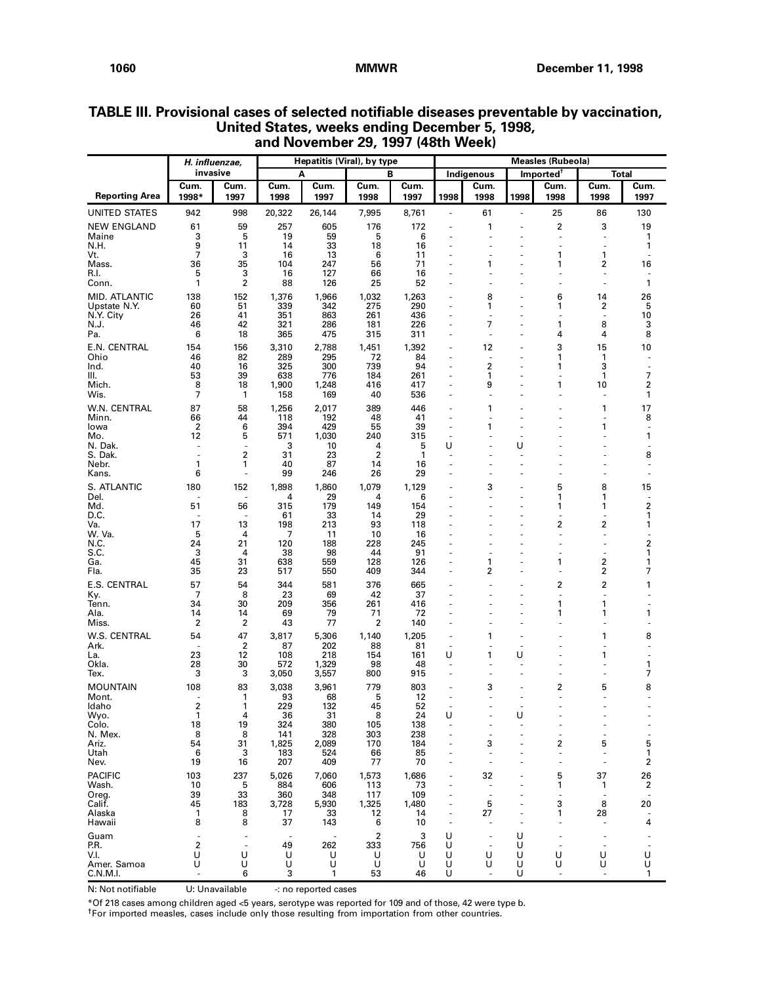|                         | H. influenzae, |                         |                                | Hepatitis (Viral), by type      |                       |              | <b>Measles (Rubeola)</b>       |                      |          |                                  |                                |              |
|-------------------------|----------------|-------------------------|--------------------------------|---------------------------------|-----------------------|--------------|--------------------------------|----------------------|----------|----------------------------------|--------------------------------|--------------|
|                         | invasive       |                         |                                | A                               |                       | В            |                                | Indigenous           |          | Imported <sup>†</sup>            |                                | <b>Total</b> |
| <b>Reporting Area</b>   | Cum.<br>1998*  | Cum.<br>1997            | Cum.<br>1998                   | Cum.<br>1997                    | Cum.<br>1998          | Cum.<br>1997 | 1998                           | Cum.<br>1998         | 1998     | Cum.<br>1998                     | Cum.<br>1998                   | Cum.<br>1997 |
| <b>UNITED STATES</b>    | 942            | 998                     | 20,322                         | 26,144                          | 7,995                 | 8,761        | $\overline{\phantom{a}}$       | 61                   | ä,       | 25                               | 86                             | 130          |
| <b>NEW ENGLAND</b>      | 61             | 59                      | 257                            | 605                             | 176                   | 172          | ÷,                             | 1                    |          | 2                                | 3                              | 19           |
| Maine<br>N.H.           | 3<br>9         | 5<br>11                 | 19<br>14                       | 59<br>33                        | 5<br>18               | 6<br>16      | ä,<br>ä,                       | ÷,                   |          | $\overline{\phantom{a}}$<br>÷,   | $\overline{\phantom{a}}$<br>ä, | 1<br>1       |
| Vt.                     | 7              | 3                       | 16                             | 13                              | 6                     | 11           | ä,                             | ÷,                   |          | 1                                | $\mathbf{1}$                   | ÷            |
| Mass.<br>R.I.           | 36<br>5        | 35<br>3                 | 104<br>16                      | 247<br>127                      | 56<br>66              | 71<br>16     | ÷,                             | 1                    |          | 1<br>$\overline{a}$              | 2<br>$\overline{\phantom{a}}$  | 16           |
| Conn.                   | 1              | $\overline{\mathbf{c}}$ | 88                             | 126                             | 25                    | 52           | ÷,                             | ä,                   |          | ÷,                               | ä,                             | 1            |
| MID. ATLANTIC           | 138            | 152                     | 1,376                          | 1,966                           | 1,032                 | 1,263        |                                | 8                    |          | 6                                | 14                             | 26           |
| Upstate N.Y.            | 60             | 51                      | 339                            | 342                             | 275                   | 290          | $\sim$                         | 1                    |          | 1                                | 2                              | 5            |
| N.Y. City<br>N.J.       | 26<br>46       | 41<br>42                | 351<br>321                     | 863<br>286                      | 261<br>181            | 436<br>226   | ÷,<br>ä,                       | $\overline{a}$<br>7  |          | $\overline{a}$<br>1              | $\sim$<br>8                    | 10<br>3      |
| Pa.                     | 6              | 18                      | 365                            | 475                             | 315                   | 311          | ÷,                             | ÷,                   | ÷.       | 4                                | 4                              | 8            |
| E.N. CENTRAL            | 154            | 156                     | 3,310                          | 2,788                           | 1,451                 | 1,392        | ÷,                             | 12                   |          | 3                                | 15                             | 10           |
| Ohio<br>Ind.            | 46<br>40       | 82<br>16                | 289<br>325                     | 295<br>300                      | 72<br>739             | 84<br>94     | ÷,<br>÷,                       | ÷,<br>$\overline{2}$ |          | 1<br>1                           | 1<br>3                         |              |
| III.                    | 53             | 39                      | 638                            | 776                             | 184                   | 261          | ÷.                             | 1                    | ÷.       | $\sim$                           | 1                              | 7            |
| Mich.                   | 8              | 18                      | 1,900                          | 1,248                           | 416                   | 417          | ÷,                             | 9                    | ÷.       | 1                                | 10                             | 2            |
| Wis.                    | 7              | $\mathbf{1}$            | 158                            | 169                             | 40                    | 536          | ÷,                             | ä,                   |          | $\sim$                           |                                | 1            |
| W.N. CENTRAL<br>Minn.   | 87<br>66       | 58<br>44                | 1,256<br>118                   | 2,017<br>192                    | 389<br>48             | 446<br>41    | ä,<br>÷,                       | 1                    |          |                                  | 1                              | 17<br>8      |
| lowa                    | $\overline{2}$ | 6                       | 394                            | 429                             | 55                    | 39           | ÷,                             | 1                    |          |                                  | 1                              | ä,           |
| Mo.<br>N. Dak.          | 12<br>÷,       | 5<br>$\sim$             | 571<br>3                       | 1,030<br>10                     | 240<br>4              | 315<br>5     | ä,<br>U                        |                      | U        |                                  |                                | 1<br>ä,      |
| S. Dak.                 |                | $\overline{\mathbf{c}}$ | 31                             | 23                              | 2                     | 1            |                                |                      |          |                                  |                                | 8            |
| Nebr.                   | 1<br>6         | 1                       | 40<br>99                       | 87<br>246                       | 14<br>26              | 16<br>29     | ä,<br>ä,                       |                      | ٠        |                                  |                                |              |
| Kans.                   |                |                         |                                |                                 |                       |              |                                |                      |          |                                  |                                |              |
| S. ATLANTIC<br>Del.     | 180            | 152                     | 1,898<br>4                     | 1,860<br>29                     | 1,079<br>4            | 1,129<br>6   | ÷,<br>÷.                       | 3<br>$\overline{a}$  |          | 5<br>1                           | 8<br>1                         | 15           |
| Md.                     | 51             | 56                      | 315                            | 179                             | 149                   | 154          | ÷.                             |                      |          | 1                                | 1                              | 2            |
| D.C.<br>Va.             | 17             | 13                      | 61<br>198                      | 33<br>213                       | 14<br>93              | 29<br>118    | ÷,<br>÷.                       | ÷,                   | ÷.       | $\sim$<br>2                      | ٠<br>2                         | 1<br>1       |
| W. Va.                  | 5              | 4                       | 7                              | 11                              | 10                    | 16           | ÷,                             |                      |          | $\sim$                           | $\sim$                         |              |
| N.C.<br>S.C.            | 24<br>3        | 21<br>4                 | 120<br>38                      | 188<br>98                       | 228<br>44             | 245<br>91    | ÷,                             |                      |          | $\sim$                           |                                | 2<br>1       |
| Ga.                     | 45             | 31                      | 638                            | 559                             | 128                   | 126          | ÷.                             | 1                    | ÷.       | 1                                | 2                              | 1            |
| Fla.                    | 35             | 23                      | 517                            | 550                             | 409                   | 344          | ä,                             | 2                    | ÷.       | $\overline{a}$                   | 2                              | 7            |
| E.S. CENTRAL            | 57             | 54                      | 344                            | 581                             | 376                   | 665          | ä,                             |                      |          | 2                                | $\overline{\mathbf{c}}$        | 1            |
| Ky.<br>Tenn.            | 7<br>34        | 8<br>30                 | 23<br>209                      | 69<br>356                       | 42<br>261             | 37<br>416    | ä,                             |                      |          | ÷,<br>1                          | $\sim$<br>$\mathbf{1}$         |              |
| Ala.                    | 14             | 14                      | 69                             | 79                              | 71                    | 72           | ä,                             | ä,                   |          | 1                                | 1                              | 1            |
| Miss.                   | 2              | 2                       | 43                             | 77                              | $\overline{2}$        | 140          |                                |                      |          |                                  |                                |              |
| W.S. CENTRAL<br>Ark.    | 54             | 47<br>2                 | 3,817<br>87                    | 5,306<br>202                    | 1,140<br>88           | 1,205<br>81  | $\sim$<br>$\overline{a}$       | 1<br>$\overline{a}$  | ÷.<br>÷. | $\overline{a}$                   | 1<br>÷,                        | 8            |
| La.                     | 23             | 12                      | 108                            | 218                             | 154                   | 161          | U                              | 1                    | U        |                                  | 1                              |              |
| Okla.                   | 28<br>3        | 30<br>3                 | 572                            | 1,329                           | 98<br>800             | 48<br>915    | $\overline{\phantom{a}}$<br>÷, | $\overline{a}$<br>÷, | ÷.<br>٠  | $\overline{a}$<br>$\overline{a}$ | ä,                             | 1<br>7       |
| Tex.<br><b>MOUNTAIN</b> | 108            | 83                      | 3,050<br>3,038                 | 3,557<br>3,961                  | 779                   | 803          |                                | 3                    |          | 2                                | 5                              | 8            |
| Mont.                   |                | 1                       | 93                             | 68                              | 5                     | 12           | ä,                             | ä,                   |          | ä,                               |                                |              |
| Idaho                   | 2              | 1                       | 229                            | 132                             | 45                    | 52           |                                |                      |          |                                  |                                |              |
| Wyo.<br>Colo.           | -1<br>18       | 4<br>19                 | 36<br>324                      | 31<br>380                       | 8<br>105              | 24<br>138    | U<br>$\overline{a}$            |                      | U        |                                  |                                |              |
| N. Mex.                 | 8              | 8                       | 141                            | 328                             | 303                   | 238          |                                |                      |          | $\overline{a}$                   |                                | ÷,           |
| Ariz.<br>Utah           | 54<br>6        | 31<br>3                 | 1,825<br>183                   | 2,089<br>524                    | 170<br>66             | 184<br>85    | ÷,                             | 3<br>ä,              |          | $\overline{\mathbf{2}}$<br>÷,    | 5<br>$\sim$                    | 5<br>1       |
| Nev.                    | 19             | 16                      | 207                            | 409                             | 77                    | 70           | ä,                             | ÷,                   |          | ä,                               |                                | 2            |
| <b>PACIFIC</b>          | 103            | 237                     | 5,026                          | 7,060                           | 1,573                 | 1,686        |                                | 32                   |          | 5                                | 37                             | 26           |
| Wash.                   | 10             | 5                       | 884                            | 606                             | 113                   | 73           | $\overline{\phantom{a}}$<br>ä, | J.                   |          | 1<br>÷.                          | 1                              | 2<br>$\sim$  |
| Oreg.<br>Calif.         | 39<br>45       | 33<br>183               | 360<br>3,728                   | 348<br>5,930                    | 117<br>1,325          | 109<br>1,480 |                                | ÷,<br>5              |          | 3                                | 8                              | 20           |
| Alaska                  | 1              | 8                       | 17                             | 33                              | 12                    | 14           |                                | 27                   |          | 1                                | 28                             |              |
| Hawaii                  | 8              | 8                       | 37                             | 143                             | 6                     | 10           |                                | ÷,                   |          | $\sim$                           |                                | 4            |
| Guam<br>P.R.            | 2              |                         | $\overline{\phantom{a}}$<br>49 | $\overline{\phantom{a}}$<br>262 | $\overline{2}$<br>333 | 3<br>756     | U<br>U                         | ÷,<br>ä,             | U<br>U   | ÷,<br>÷,                         |                                |              |
| V.I.                    | U              | U                       | U                              | U                               | U                     | U            | U                              | U                    | U        | U                                | U                              | U            |
| Amer. Samoa<br>C.N.M.I. | U              | U<br>6                  | U<br>3                         | U<br>1                          | U<br>53               | U<br>46      | U<br>U                         | U                    | U<br>U   | U                                | U                              | U<br>1       |

# **TABLE III. Provisional cases of selected notifiable diseases preventable by vaccination, United States, weeks ending December 5, 1998, and November 29, 1997 (48th Week)**

N: Not notifiable U: Unavailable -: no reported cases

\*Of 218 cases among children aged <5 years, serotype was reported for 109 and of those, 42 were type b.

†For imported measles, cases include only those resulting from importation from other countries.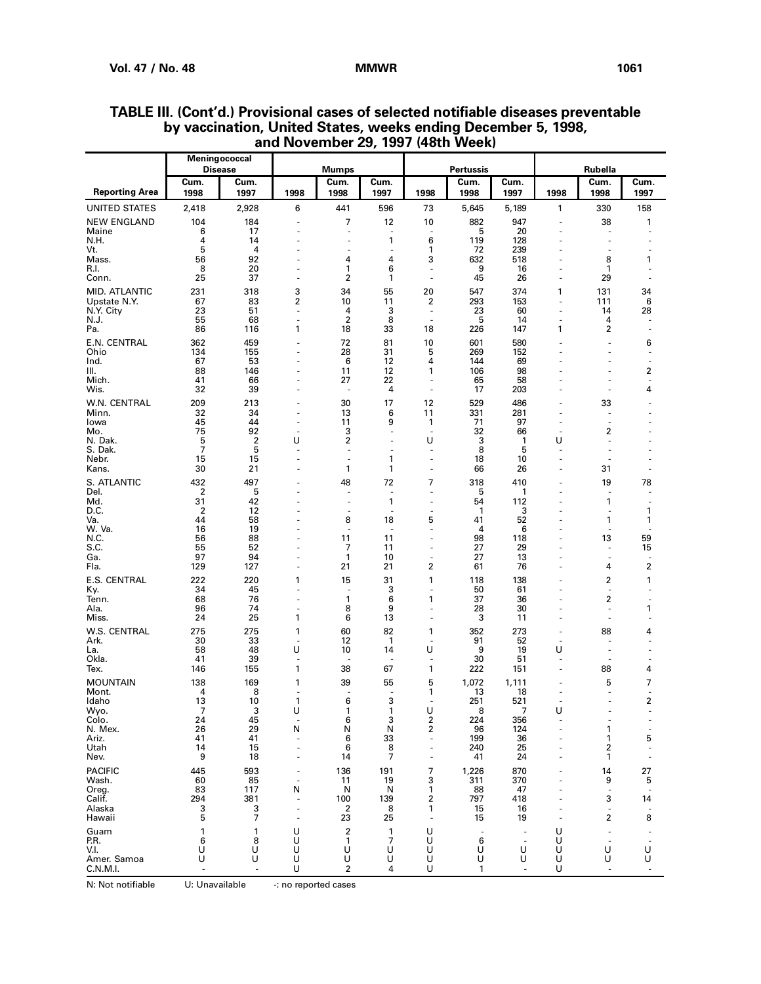|                               |              | Meningococcal<br><b>Disease</b> |          | <b>Mumps</b>                   |                                |                                                      | <b>Pertussis</b>              |                          |                               | Rubella                        |                                |
|-------------------------------|--------------|---------------------------------|----------|--------------------------------|--------------------------------|------------------------------------------------------|-------------------------------|--------------------------|-------------------------------|--------------------------------|--------------------------------|
| <b>Reporting Area</b>         | Cum.<br>1998 | Cum.<br>1997                    | 1998     | Cum.<br>1998                   | Cum.<br>1997                   | 1998                                                 | Cum.<br>1998                  | Cum.<br>1997             | 1998                          | Cum.<br>1998                   | Cum.<br>1997                   |
| UNITED STATES                 | 2,418        | 2,928                           | 6        | 441                            | 596                            | 73                                                   | 5,645                         | 5,189                    | 1                             | 330                            | 158                            |
| <b>NEW ENGLAND</b>            | 104          | 184                             | ä,       | 7                              | 12                             | 10                                                   | 882                           | 947                      |                               | 38                             | 1                              |
| Maine<br>N.H.                 | 6<br>4       | 17<br>14                        | ÷<br>÷,  | ÷.<br>$\overline{a}$           | ÷.<br>1                        | $\sim$<br>6                                          | 5<br>119                      | 20<br>128                |                               | $\overline{\phantom{a}}$<br>ä, |                                |
| Vt.                           | 5            | 4                               |          | ÷,                             | $\sim$                         | 1                                                    | 72                            | 239                      |                               | ٠                              | ٠                              |
| Mass.<br>R.I.                 | 56<br>8      | 92<br>20                        | ÷,<br>÷, | 4<br>1                         | 4<br>6                         | 3<br>÷,                                              | 632<br>9                      | 518<br>16                |                               | 8<br>1                         | 1<br>٠                         |
| Conn.                         | 25           | 37                              | ÷,       | 2                              | 1                              | $\sim$                                               | 45                            | 26                       |                               | 29                             | ٠                              |
| MID. ATLANTIC<br>Upstate N.Y. | 231<br>67    | 318<br>83                       | 3<br>2   | 34<br>10                       | 55<br>11                       | 20<br>2                                              | 547<br>293                    | 374<br>153               | 1<br>ä,                       | 131<br>111                     | 34<br>6                        |
| N.Y. City                     | 23           | 51                              | ÷,       | 4                              | 3                              | $\overline{\phantom{a}}$                             | 23                            | 60                       |                               | 14                             | 28                             |
| N.J.<br>Pa.                   | 55<br>86     | 68<br>116                       | ÷,<br>1  | $\overline{2}$<br>18           | 8<br>33                        | ÷,<br>18                                             | 5<br>226                      | 14<br>147                | ÷,<br>1                       | 4<br>$\overline{\mathbf{c}}$   | ä,                             |
| E.N. CENTRAL                  | 362          | 459                             | ÷,       | 72                             | 81                             | 10                                                   | 601                           | 580                      |                               | ä,                             | 6                              |
| Ohio                          | 134          | 155                             | ä,       | 28                             | 31                             | 5                                                    | 269                           | 152                      |                               | ÷,                             | ٠                              |
| Ind.<br>III.                  | 67<br>88     | 53<br>146                       | ÷,<br>ä, | 6<br>11                        | 12<br>12                       | 4<br>1                                               | 144<br>106                    | 69<br>98                 |                               | $\overline{a}$                 | ٠<br>2                         |
| Mich.                         | 41           | 66                              | ÷,<br>ä, | 27<br>$\sim$                   | 22                             | $\sim$<br>$\bar{a}$                                  | 65                            | 58                       |                               | ٠<br>ä,                        | ÷.                             |
| Wis.<br>W.N. CENTRAL          | 32<br>209    | 39<br>213                       |          | 30                             | 4<br>17                        | 12                                                   | 17<br>529                     | 203<br>486               |                               | 33                             | 4                              |
| Minn.                         | 32           | 34                              | ä,       | 13                             | 6                              | 11                                                   | 331                           | 281                      |                               | ÷,                             |                                |
| Iowa<br>Mo.                   | 45<br>75     | 44<br>92                        | ä,<br>÷, | 11<br>3                        | 9<br>÷.                        | $\mathbf{1}$<br>$\overline{\phantom{a}}$             | 71<br>32                      | 97<br>66                 | ÷,                            | ä,<br>$\overline{\mathbf{c}}$  |                                |
| N. Dak.                       | 5            | $\overline{2}$                  | U        | 2                              | J.                             | U                                                    | 3                             | 1                        | U                             | ä,                             |                                |
| S. Dak.<br>Nebr.              | 7<br>15      | 5<br>15                         | ÷,<br>ł, | $\overline{\phantom{a}}$<br>÷, | ÷,<br>1                        | $\overline{\phantom{a}}$<br>÷,                       | 8<br>18                       | 5<br>10                  | $\sim$                        | ÷,                             |                                |
| Kans.                         | 30           | 21                              | ł,       | 1                              | 1                              | ÷,                                                   | 66                            | 26                       |                               | 31                             |                                |
| S. ATLANTIC<br>Del.           | 432<br>2     | 497<br>5                        | ÷,       | 48<br>÷,                       | 72<br>$\overline{\phantom{a}}$ | 7<br>$\overline{\phantom{a}}$                        | 318<br>5                      | 410<br>1                 |                               | 19<br>÷,                       | 78<br>٠                        |
| Md.                           | 31           | 42                              |          | $\overline{\phantom{a}}$       | 1                              | $\overline{\phantom{a}}$                             | 54                            | 112                      |                               | 1                              | ٠                              |
| D.C.<br>Va.                   | 2<br>44      | 12<br>58                        |          | $\sim$<br>8                    | $\overline{\phantom{a}}$<br>18 | $\sim$<br>5                                          | 1<br>41                       | 3<br>52                  |                               | ٠<br>1                         | 1<br>1                         |
| W. Va.<br>N.C.                | 16<br>56     | 19<br>88                        | ٠        | $\sim$<br>11                   | $\sim$<br>11                   | ä,<br>÷                                              | 4<br>98                       | 6<br>118                 |                               | ÷,<br>13                       | ÷,<br>59                       |
| S.C.                          | 55           | 52                              | ÷,       | 7                              | 11                             | $\sim$                                               | 27                            | 29                       |                               | ä,                             | 15                             |
| Ga.<br>Fla.                   | 97<br>129    | 94<br>127                       | ÷,       | 1<br>21                        | 10<br>21                       | ä,<br>$\overline{\mathbf{c}}$                        | 27<br>61                      | 13<br>76                 |                               | ÷,<br>4                        | 2                              |
| E.S. CENTRAL                  | 222          | 220                             | 1        | 15                             | 31                             | 1                                                    | 118                           | 138                      |                               | 2                              | 1                              |
| Ky.<br>Tenn.                  | 34<br>68     | 45<br>76                        | ÷<br>ä,  | $\sim$<br>1                    | 3<br>6                         | $\sim$<br>1                                          | 50<br>37                      | 61<br>36                 |                               | ÷,<br>$\overline{\mathbf{c}}$  | ٠                              |
| Ala.                          | 96           | 74                              | ä,       | 8                              | 9                              | ÷,                                                   | 28                            | 30                       |                               | ÷,                             | 1                              |
| Miss.                         | 24           | 25                              | 1        | 6                              | 13                             | ÷,                                                   | 3                             | 11                       | $\overline{a}$                | $\overline{\phantom{a}}$       | ٠                              |
| W.S. CENTRAL<br>Ark.          | 275<br>30    | 275<br>33                       | 1<br>÷,  | 60<br>12                       | 82<br>$\mathbf{1}$             | 1<br>$\overline{\phantom{a}}$                        | 352<br>91                     | 273<br>52                | $\overline{\phantom{a}}$      | 88<br>÷,                       | 4<br>٠                         |
| La.<br>Okla.                  | 58<br>41     | 48<br>39                        | U<br>÷,  | 10<br>$\overline{\phantom{a}}$ | 14                             | U<br>$\overline{\phantom{a}}$                        | 9<br>30                       | 19<br>51                 | U<br>$\overline{\phantom{a}}$ | ÷,<br>٠                        | ä,<br>٠                        |
| Tex.                          | 146          | 155                             | 1        | 38                             | 67                             | 1                                                    | 222                           | 151                      |                               | 88                             | 4                              |
| <b>MOUNTAIN</b>               | 138<br>4     | 169<br>8                        | 1        | 39                             | 55                             | 5                                                    | 1,072                         | 1,111                    |                               | 5                              | 7                              |
| Mont.<br>Idaho                | 13           | 10                              | ٠<br>1   | 6                              | $\overline{\phantom{a}}$<br>3  | 1<br>$\sim$                                          | 13<br>251                     | 18<br>521                |                               | ÷,<br>÷,                       | $\overline{a}$<br>2            |
| Wyo.<br>Colo.                 | 7<br>24      | 3<br>45                         | U<br>÷,  | 1<br>6                         | 1<br>3                         | U<br>2                                               | 8<br>224                      | 7<br>356                 | U                             |                                |                                |
| N. Mex.                       | 26           | 29                              | N        | N                              | N                              | 2                                                    | 96                            | 124                      |                               | 1                              | ÷,                             |
| Ariz.<br>Utah                 | 41<br>14     | 41<br>15                        |          | 6<br>6                         | 33<br>8                        | $\overline{\phantom{a}}$<br>$\overline{\phantom{a}}$ | 199<br>240                    | 36<br>25                 |                               | 1<br>2                         | 5<br>$\overline{\phantom{a}}$  |
| Nev.                          | 9            | 18                              |          | 14                             | 7                              | $\overline{\phantom{a}}$                             | 41                            | 24                       |                               | 1                              |                                |
| <b>PACIFIC</b><br>Wash.       | 445<br>60    | 593<br>85                       | ÷,       | 136<br>11                      | 191<br>19                      | 7<br>3                                               | 1,226<br>311                  | 870<br>370               |                               | 14<br>9                        | 27<br>5                        |
| Oreg.                         | 83           | 117                             | N        | N                              | N                              | 1                                                    | 88                            | 47                       |                               | ÷,                             | ×.                             |
| Calif.<br>Alaska              | 294<br>з     | 381<br>3                        |          | 100<br>$\boldsymbol{2}$        | 139<br>8                       | 2<br>1                                               | 797<br>15                     | 418<br>16                |                               | 3<br>$\blacksquare$            | 14<br>$\overline{\phantom{a}}$ |
| Hawaii                        | 5            | 7                               |          | 23                             | 25                             |                                                      | 15                            | 19                       |                               | 2                              | 8                              |
| Guam<br>P.R.                  | 1<br>6       | 1<br>8                          | U<br>U   | $\boldsymbol{2}$<br>1          | $\mathbf{1}$<br>7              | U<br>U                                               | $\overline{\phantom{a}}$<br>6 | $\overline{\phantom{a}}$ | U<br>U                        | ä,<br>$\overline{a}$           |                                |
| V.I.                          | U            | U                               | U        | U                              | U                              | U                                                    | U                             | U                        | U                             | U                              | $\overline{\phantom{a}}$<br>U  |
| Amer. Samoa<br>C.N.M.I.       | U            | U                               | U<br>U   | U<br>$\overline{2}$            | U<br>4                         | U<br>U                                               | U<br>1                        | U                        | U<br>U                        | U                              | U                              |

## **TABLE III. (Cont'd.) Provisional cases of selected notifiable diseases preventable by vaccination, United States, weeks ending December 5, 1998, and November 29, 1997 (48th Week)**

N: Not notifiable U: Unavailable -: no reported cases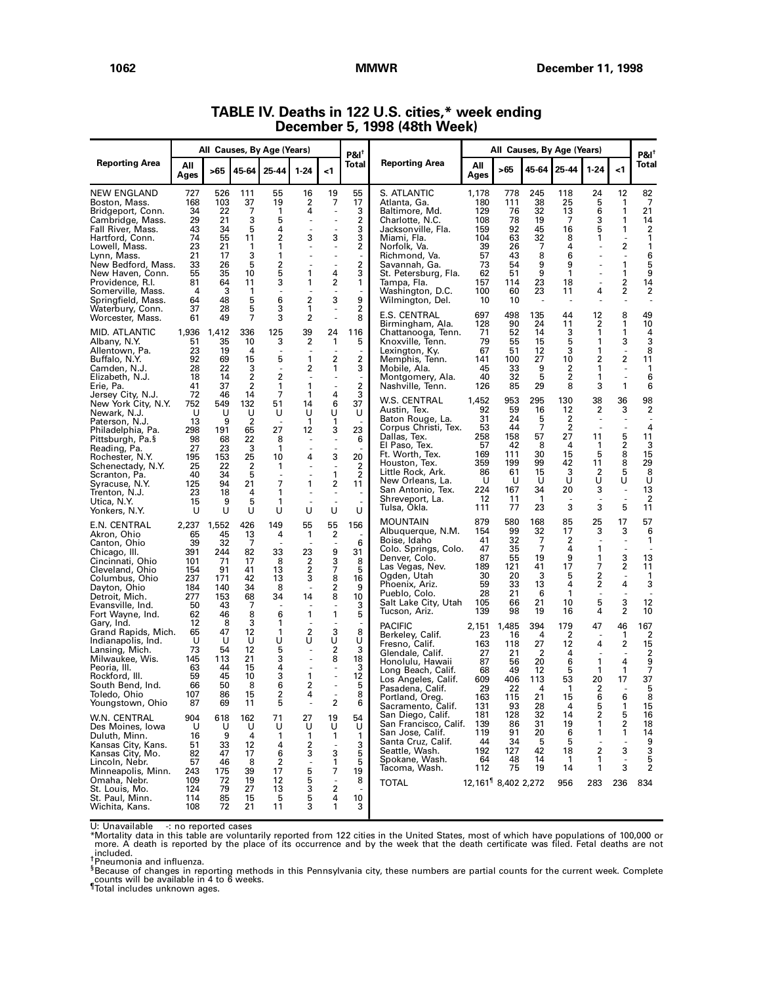|                                                                                                                                                                                                                                                                            |                                                                                   |                                                                                   |                                                                          | All Causes, By Age (Years)                                                         |                                                          |                                                                                     | $PAI^{\dagger}$                                                                        |                                                                                                                                                                                                                                                |                                                                                      |                                                                                | All Causes, By Age (Years)                                              |                                                                                              |                                                                        |                                                                                          | $PAI^T$                                                                                         |
|----------------------------------------------------------------------------------------------------------------------------------------------------------------------------------------------------------------------------------------------------------------------------|-----------------------------------------------------------------------------------|-----------------------------------------------------------------------------------|--------------------------------------------------------------------------|------------------------------------------------------------------------------------|----------------------------------------------------------|-------------------------------------------------------------------------------------|----------------------------------------------------------------------------------------|------------------------------------------------------------------------------------------------------------------------------------------------------------------------------------------------------------------------------------------------|--------------------------------------------------------------------------------------|--------------------------------------------------------------------------------|-------------------------------------------------------------------------|----------------------------------------------------------------------------------------------|------------------------------------------------------------------------|------------------------------------------------------------------------------------------|-------------------------------------------------------------------------------------------------|
| <b>Reporting Area</b>                                                                                                                                                                                                                                                      | All<br>Ages                                                                       | >65                                                                               | 45-64                                                                    | 25-44                                                                              | $1 - 24$                                                 | -1                                                                                  | Total                                                                                  | <b>Reporting Area</b>                                                                                                                                                                                                                          | All<br>Ages                                                                          | >65                                                                            | 45-64                                                                   | 25-44                                                                                        | $1 - 24$                                                               | -1                                                                                       | Total                                                                                           |
| NEW ENGLAND<br>Boston, Mass.<br>Bridgeport, Conn.<br>Cambridge, Mass.<br>Fall River, Mass.<br>Hartford, Conn.<br>Lowell, Mass.<br>Lynn, Mass.<br>New Bedford, Mass.<br>New Haven, Conn.<br>Providence, R.I.<br>Somerville, Mass.<br>Springfield, Mass.<br>Waterbury, Conn. | 727<br>168<br>34<br>29<br>43<br>74<br>23<br>21<br>33<br>55<br>81<br>4<br>64<br>37 | 526<br>103<br>22<br>21<br>34<br>55<br>21<br>17<br>26<br>35<br>64<br>3<br>48<br>28 | 111<br>37<br>7<br>3<br>5<br>11<br>1<br>3<br>5<br>10<br>11<br>1<br>5<br>5 | 55<br>19<br>1<br>5<br>4<br>2<br>1<br>1<br>2<br>5<br>3<br>6<br>3                    | 16<br>2<br>4<br>ä,<br>3<br>1<br>1<br>$\overline{2}$<br>1 | 19<br>7<br>$\overline{a}$<br>3<br>4<br>2<br>3                                       | 55<br>17<br>3<br>2<br>3<br>3<br>2<br>$\overline{\phantom{a}}$<br>2<br>3<br>1<br>9<br>2 | S. ATLANTIC<br>Atlanta, Ga.<br>Baltimore, Md.<br>Charlotte, N.C.<br>Jacksonville, Fla.<br>Miami, Fla.<br>Norfolk, Va.<br>Richmond, Va.<br>Savannah, Ga.<br>St. Petersburg, Fla.<br>Tampa, Fla.<br>Washington, D.C.<br>Wilmington, Del.         | 1,178<br>180<br>129<br>108<br>159<br>104<br>39<br>57<br>73<br>62<br>157<br>100<br>10 | 778<br>111<br>76<br>78<br>92<br>63<br>26<br>43<br>54<br>51<br>114<br>60<br>10  | 245<br>38<br>32<br>19<br>45<br>32<br>7<br>8<br>9<br>9<br>23<br>23       | 118<br>25<br>13<br>7<br>16<br>8<br>4<br>6<br>9<br>$\mathbf{1}$<br>18<br>11<br>$\overline{a}$ | 24<br>5<br>6<br>3<br>5<br>1<br>4                                       | 12<br>1<br>1<br>1<br>1<br>2<br>$\overline{a}$<br>1<br>1<br>2<br>2                        | 82<br>7<br>21<br>14<br>$\overline{\mathbf{2}}$<br>1<br>1<br>6<br>5<br>9<br>14<br>$\overline{2}$ |
| Worcester, Mass.<br>MID. ATLANTIC<br>Albany, N.Y.<br>Allentown, Pa.<br>Buffalo, N.Y.<br>Camden, N.J.<br>Elizabeth, N.J.<br>Erie, Pa.                                                                                                                                       | 61<br>1,936<br>51<br>23<br>92<br>28<br>18<br>41<br>72                             | 49<br>1,412<br>35<br>19<br>69<br>22<br>14<br>37<br>46                             | 7<br>336<br>10<br>4<br>15<br>3<br>2<br>2<br>14                           | 3<br>125<br>3<br>5<br>2<br>1<br>$\overline{7}$                                     | $\overline{2}$<br>39<br>2<br>1<br>2<br>1<br>1            | 24<br>1<br>2<br>1<br>4                                                              | 8<br>116<br>5<br>2<br>3<br>2<br>3                                                      | <b>E.S. CENTRAL</b><br>Birmingham, Ala.<br>Chattanooga, Tenn.<br>Knoxville, Tenn.<br>Lexington, Ky.<br>Memphis, Tenn.<br>Mobile, Ala.<br>Montgomery, Ala.<br>Nashville, Tenn.                                                                  | 697<br>128<br>71<br>79<br>67<br>141<br>45<br>40<br>126                               | 498<br>90<br>52<br>55<br>51<br>100<br>33<br>32<br>85                           | 135<br>24<br>14<br>15<br>12<br>27<br>9<br>5<br>29                       | 44<br>11<br>3<br>5<br>3<br>10<br>2<br>$\overline{\mathbf{c}}$<br>8                           | 12<br>2<br>1<br>1<br>1<br>2<br>1<br>1<br>3                             | 8<br>1<br>1<br>3<br>2<br>1                                                               | 49<br>10<br>4<br>3<br>8<br>11<br>1<br>6<br>6                                                    |
| Jersey City, N.J.<br>New York City, N.Y.<br>Newark, N.J.<br>Paterson, N.J.<br>Philadelphia, Pa.<br>Pittsburgh, Pa.§<br>Reading, Pa.<br>Rochester, N.Y.<br>Schenectadv. N.Y.<br>Scranton, Pa.<br>Syracuse, N.Y.<br>Trenton, N.J.<br>Utica, N.Y.<br>Yonkers, N.Y.            | 752<br>U<br>13<br>298<br>98<br>27<br>195<br>25<br>40<br>125<br>23<br>15<br>U      | 549<br>U<br>9<br>191<br>68<br>23<br>153<br>22<br>34<br>94<br>18<br>9<br>U         | 132<br>U<br>2<br>65<br>22<br>3<br>25<br>2<br>5<br>21<br>4<br>5<br>U      | 51<br>U<br>27<br>8<br>1<br>10<br>1<br>$\overline{\phantom{a}}$<br>7<br>1<br>1<br>U | 14<br>U<br>1<br>12<br>÷,<br>4<br>1<br>U                  | 6<br>U<br>1<br>3<br>3<br>1<br>2<br>÷,<br>U                                          | 37<br>U<br>23<br>6<br>20<br>2<br>$\overline{2}$<br>11<br>U                             | W.S. CENTRAL<br>Austin, Tex.<br>Baton Rouge, La.<br>Corpus Christi, Tex.<br>Dallas, Tex.<br>El Paso, Tex.<br>Ft. Worth, Tex.<br>Houston, Tex.<br>Little Rock, Ark.<br>New Orleans, La.<br>San Antonio, Tex.<br>Shreveport, La.<br>Tulsa, Okla. | 1,452<br>92<br>31<br>53<br>258<br>57<br>169<br>359<br>86<br>U<br>224<br>12<br>111    | 953<br>59<br>24<br>44<br>158<br>42<br>111<br>199<br>61<br>U<br>167<br>11<br>77 | 295<br>16<br>5<br>7<br>57<br>8<br>30<br>99<br>15<br>U<br>34<br>-1<br>23 | 130<br>12<br>2<br>$\overline{\mathbf{c}}$<br>27<br>4<br>15<br>42<br>3<br>U<br>20<br>3        | 38<br>2<br>11<br>1<br>5<br>11<br>2<br>U<br>3<br>3                      | 36<br>3<br>5<br>2<br>8<br>8<br>5<br>U<br>$\overline{\phantom{a}}$<br>5                   | 98<br>2<br>4<br>11<br>3<br>15<br>29<br>8<br>U<br>13<br>$\overline{c}$<br>11                     |
| E.N. CENTRAL<br>Akron, Ohio<br>Canton, Ohio<br>Chicago, III.<br>Cincinnati, Ohio<br>Cleveland, Ohio<br>Columbus, Ohio<br>Dayton, Ohio<br>Detroit, Mich.<br>Evansville, Ind.<br>Fort Wayne, Ind.                                                                            | 2,237<br>65<br>39<br>391<br>101<br>154<br>237<br>184<br>277<br>50<br>62           | 1,552<br>45<br>32<br>244<br>71<br>91<br>171<br>140<br>153<br>43<br>46             | 426<br>13<br>7<br>82<br>17<br>41<br>42<br>34<br>68<br>7<br>8             | 149<br>4<br>33<br>8<br>13<br>13<br>8<br>34<br>6                                    | 55<br>1<br>23<br>2<br>$\boldsymbol{2}$<br>3<br>14<br>1   | 55<br>$\overline{\mathbf{c}}$<br>9<br>3<br>7<br>8<br>2<br>8<br>1                    | 156<br>6<br>31<br>8<br>5<br>16<br>9<br>10<br>3<br>5                                    | <b>MOUNTAIN</b><br>Albuquerque, N.M.<br>Boise, Idaho<br>Colo. Springs, Colo.<br>Denver, Colo.<br>Las Vegas, Nev.<br>Ogden, Utah<br>Phoenix, Ariz.<br>Pueblo, Colo.<br>Salt Lake City, Utah<br>Tucson, Ariz.                                    | 879<br>154<br>41<br>47<br>87<br>189<br>30<br>59<br>28<br>105<br>139                  | 580<br>99<br>32<br>35<br>55<br>121<br>20<br>33<br>21<br>66<br>98               | 168<br>32<br>7<br>7<br>19<br>41<br>3<br>13<br>6<br>21<br>19             | 85<br>17<br>2<br>4<br>9<br>17<br>5<br>4<br>1<br>10<br>16                                     | 25<br>3<br>1<br>1<br>7<br>2<br>2<br>$\overline{\phantom{a}}$<br>5<br>4 | 17<br>3<br>$\overline{\phantom{a}}$<br>3<br>2<br>4<br>$\overline{\phantom{a}}$<br>3<br>2 | 57<br>6<br>1<br>$\overline{\phantom{a}}$<br>13<br>11<br>$\mathbf{1}$<br>3<br>$\sim$<br>12<br>10 |
| Gary, Ind.<br>Grand Rapids, Mich.<br>Indianapolis, Ind.<br>Lansing, Mich.<br>Milwaukee, Wis.<br>Peoria, III.<br>Rockford, III.<br>South Bend, Ind.<br>Toledo, Ohio<br>Youngstown, Ohio                                                                                     | 12<br>65<br>U<br>73<br>145<br>63<br>59<br>66<br>107<br>87                         | 8<br>47<br>U<br>54<br>113<br>44<br>45<br>50<br>86<br>69                           | 3<br>12<br>U<br>12<br>21<br>15<br>10<br>8<br>15<br>11                    | 1<br>1<br>U<br>5<br>3<br>4<br>3<br>6<br>$\overline{c}$<br>5                        | 2<br>U<br>1<br>2<br>4                                    | 3<br>U<br>$\overline{2}$<br>8<br>2                                                  | 8<br>U<br>3<br>18<br>3<br>12<br>5<br>8<br>6                                            | <b>PACIFIC</b><br>Berkeley, Calif.<br>Fresno, Calif.<br>Glendale, Calif.<br>Honolulu, Hawaii<br>Long Beach, Calif.<br>Los Angeles, Calif.<br>Pasadena, Calif.<br>Portland, Oreg.<br>Sacramento, Calif.                                         | 2,151<br>23<br>163<br>27<br>87<br>68<br>609<br>29<br>163<br>131                      | 1,485<br>16<br>118<br>21<br>56<br>49<br>406<br>22<br>115<br>93                 | 394<br>4<br>27<br>2<br>20<br>12<br>113<br>4<br>21<br>28                 | 179<br>2<br>12<br>4<br>6<br>5<br>53<br>1<br>15<br>4                                          | 47<br>4<br>1<br>1<br>20<br>2<br>6<br>5                                 | 46<br>1<br>2<br>4<br>1<br>17<br>6<br>1                                                   | 167<br>$\overline{2}$<br>15<br>$\boldsymbol{2}$<br>$\frac{9}{7}$<br>37<br>5<br>8<br>15          |
| W.N. CENTRAL<br>Des Moines, Iowa<br>Duluth, Minn.<br>Kansas City, Kans.<br>Kansas City, Mo.<br>Lincoln, Nebr.<br>Minneapolis, Minn.<br>Omaha, Nebr.<br>St. Louis, Mo.<br>St. Paul, Minn.<br>Wichita, Kans.                                                                 | 904<br>U<br>16<br>51<br>82<br>57<br>243<br>109<br>124<br>114<br>108               | 618<br>U<br>9<br>33<br>47<br>46<br>175<br>72<br>79<br>85<br>72                    | 162<br>U<br>4<br>12<br>17<br>8<br>39<br>19<br>27<br>15<br>21             | 71<br>U<br>1<br>4<br>6<br>2<br>17<br>12<br>13<br>5<br>11                           | 27<br>U<br>1<br>2<br>3<br>÷,<br>5<br>5<br>3<br>5<br>3    | 19<br>U<br>1<br>3<br>1<br>7<br>$\overline{\phantom{a}}$<br>$\overline{2}$<br>4<br>1 | 54<br>U<br>1<br>3<br>5<br>5<br>19<br>8<br>10<br>3                                      | San Diego, Calif.<br>San Francisco, Calif.<br>San Jose, Calif.<br>Santa Cruz, Calif.<br>Seattle, Wash.<br>Spokane, Wash.<br>Tacoma, Wash.<br><b>TOTAL</b>                                                                                      | 181<br>139<br>119<br>44<br>192<br>64<br>112<br>12,161 8,402 2,272                    | 128<br>86<br>91<br>34<br>127<br>48<br>75                                       | 32<br>31<br>20<br>5<br>42<br>14<br>19                                   | 14<br>19<br>6<br>5<br>18<br>1<br>14<br>956                                                   | $\overline{c}$<br>1<br>1<br>÷,<br>2<br>1<br>1<br>283                   | 5<br>2<br>1<br>3<br>÷,<br>3<br>236                                                       | 16<br>18<br>14<br>9<br>3<br>5<br>$\overline{2}$<br>834                                          |

## **TABLE IV. Deaths in 122 U.S. cities,\* week ending December 5, 1998 (48th Week)**

U: Unavailable -: no reported cases<br>\*Mortality data in this table are voluntarily reported from 122 cities in the United States, most of which have populations of 100,000 or<br>\*Mortality data in this table are voluntarily re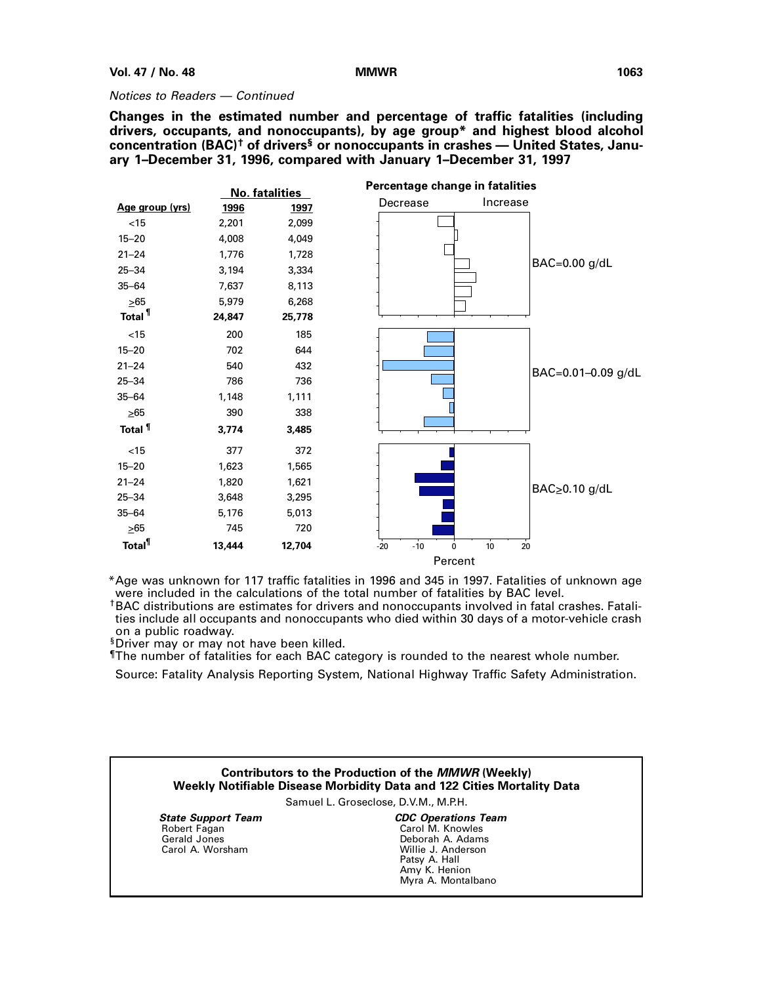### Notices to Readers — Continued

**Changes in the estimated number and percentage of traffic fatalities (including drivers, occupants, and nonoccupants), by age group\* and highest blood alcohol concentration (BAC)† of drivers§ or nonoccupants in crashes — United States, January 1–December 31, 1996, compared with January 1–December 31, 1997**



\*Age was unknown for 117 traffic fatalities in 1996 and 345 in 1997. Fatalities of unknown age were included in the calculations of the total number of fatalities by BAC level.

†BAC distributions are estimates for drivers and nonoccupants involved in fatal crashes. Fatalities include all occupants and nonoccupants who died within 30 days of a motor-vehicle crash on a public roadway.

§Driver may or may not have been killed.

¶The number of fatalities for each BAC category is rounded to the nearest whole number.

Source: Fatality Analysis Reporting System, National Highway Traffic Safety Administration.

## **Contributors to the Production of the MMWR (Weekly) Weekly Notifiable Disease Morbidity Data and 122 Cities Mortality Data**

Samuel L. Groseclose, D.V.M., M.P.H.

 **State Support Team** Robert Fagan Gerald Jones Carol A. Worsham

**CDC Operations Team** Carol M. Knowles Deborah A. Adams Willie J. Anderson Patsy A. Hall Amy K. Henion Myra A. Montalbano